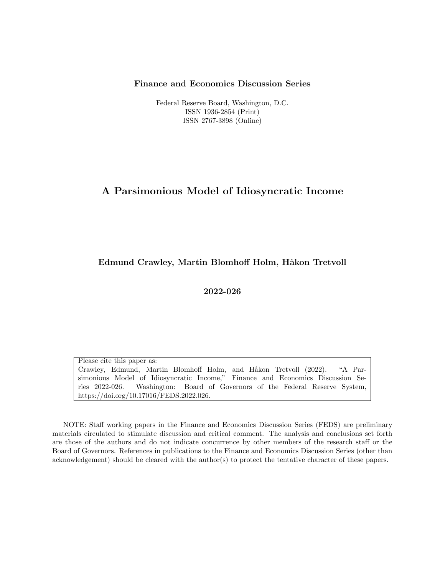#### Finance and Economics Discussion Series

Federal Reserve Board, Washington, D.C. ISSN 1936-2854 (Print) ISSN 2767-3898 (Online)

### A Parsimonious Model of Idiosyncratic Income

#### Edmund Crawley, Martin Blomhoff Holm, Håkon Tretvoll

2022-026

Please cite this paper as: Crawley, Edmund, Martin Blomhoff Holm, and Håkon Tretvoll (2022). "A Parsimonious Model of Idiosyncratic Income," Finance and Economics Discussion Series 2022-026. Washington: Board of Governors of the Federal Reserve System, https://doi.org/10.17016/FEDS.2022.026.

NOTE: Staff working papers in the Finance and Economics Discussion Series (FEDS) are preliminary materials circulated to stimulate discussion and critical comment. The analysis and conclusions set forth are those of the authors and do not indicate concurrence by other members of the research staff or the Board of Governors. References in publications to the Finance and Economics Discussion Series (other than acknowledgement) should be cleared with the author(s) to protect the tentative character of these papers.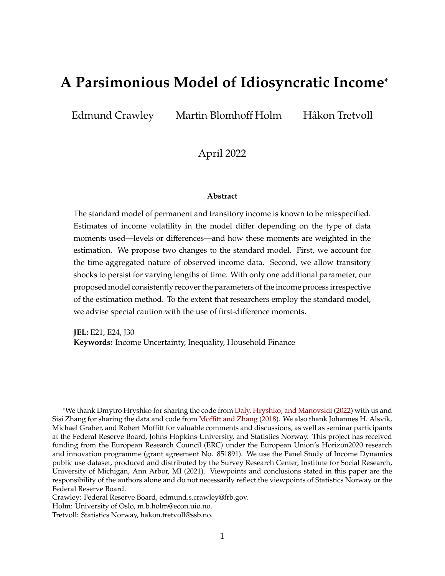# **A Parsimonious Model of Idiosyncratic Income**\*

Edmund Crawley Martin Blomhoff Holm Håkon Tretvoll

April 2022

#### **Abstract**

The standard model of permanent and transitory income is known to be misspecified. Estimates of income volatility in the model differ depending on the type of data moments used—levels or differences—and how these moments are weighted in the estimation. We propose two changes to the standard model. First, we account for the time-aggregated nature of observed income data. Second, we allow transitory shocks to persist for varying lengths of time. With only one additional parameter, our proposed model consistently recover the parameters of the income process irrespective of the estimation method. To the extent that researchers employ the standard model, we advise special caution with the use of first-difference moments.

**JEL:** E21, E24, J30 **Keywords:** Income Uncertainty, Inequality, Household Finance

<sup>\*</sup>We thank Dmytro Hryshko for sharing the code from [Daly, Hryshko, and Manovskii](#page-31-0) [\(2022\)](#page-31-0) with us and Sisi Zhang for sharing the data and code from Moffi[tt and Zhang](#page-32-0) [\(2018\)](#page-32-0). We also thank Johannes H. Alsvik, Michael Graber, and Robert Moffitt for valuable comments and discussions, as well as seminar participants at the Federal Reserve Board, Johns Hopkins University, and Statistics Norway. This project has received funding from the European Research Council (ERC) under the European Union's Horizon2020 research and innovation programme (grant agreement No. 851891). We use the Panel Study of Income Dynamics public use dataset, produced and distributed by the Survey Research Center, Institute for Social Research, University of Michigan, Ann Arbor, MI (2021). Viewpoints and conclusions stated in this paper are the responsibility of the authors alone and do not necessarily reflect the viewpoints of Statistics Norway or the Federal Reserve Board.

Crawley: Federal Reserve Board, edmund.s.crawley@frb.gov.

Holm: University of Oslo, m.b.holm@econ.uio.no.

Tretvoll: Statistics Norway, hakon.tretvoll@ssb.no.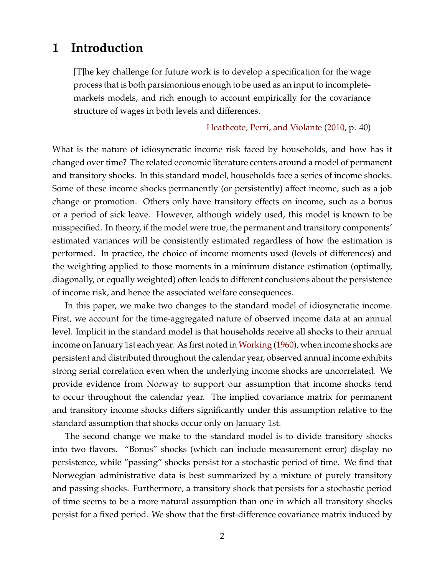### <span id="page-2-0"></span>**1 Introduction**

[T]he key challenge for future work is to develop a specification for the wage process that is both parsimonious enough to be used as an input to incompletemarkets models, and rich enough to account empirically for the covariance structure of wages in both levels and differences.

[Heathcote, Perri, and Violante](#page-32-1) [\(2010,](#page-32-1) p. 40)

What is the nature of idiosyncratic income risk faced by households, and how has it changed over time? The related economic literature centers around a model of permanent and transitory shocks. In this standard model, households face a series of income shocks. Some of these income shocks permanently (or persistently) affect income, such as a job change or promotion. Others only have transitory effects on income, such as a bonus or a period of sick leave. However, although widely used, this model is known to be misspecified. In theory, if the model were true, the permanent and transitory components' estimated variances will be consistently estimated regardless of how the estimation is performed. In practice, the choice of income moments used (levels of differences) and the weighting applied to those moments in a minimum distance estimation (optimally, diagonally, or equally weighted) often leads to different conclusions about the persistence of income risk, and hence the associated welfare consequences.

In this paper, we make two changes to the standard model of idiosyncratic income. First, we account for the time-aggregated nature of observed income data at an annual level. Implicit in the standard model is that households receive all shocks to their annual income on January 1st each year. As first noted in [Working](#page-33-0) [\(1960\)](#page-33-0), when income shocks are persistent and distributed throughout the calendar year, observed annual income exhibits strong serial correlation even when the underlying income shocks are uncorrelated. We provide evidence from Norway to support our assumption that income shocks tend to occur throughout the calendar year. The implied covariance matrix for permanent and transitory income shocks differs significantly under this assumption relative to the standard assumption that shocks occur only on January 1st.

The second change we make to the standard model is to divide transitory shocks into two flavors. "Bonus" shocks (which can include measurement error) display no persistence, while "passing" shocks persist for a stochastic period of time. We find that Norwegian administrative data is best summarized by a mixture of purely transitory and passing shocks. Furthermore, a transitory shock that persists for a stochastic period of time seems to be a more natural assumption than one in which all transitory shocks persist for a fixed period. We show that the first-difference covariance matrix induced by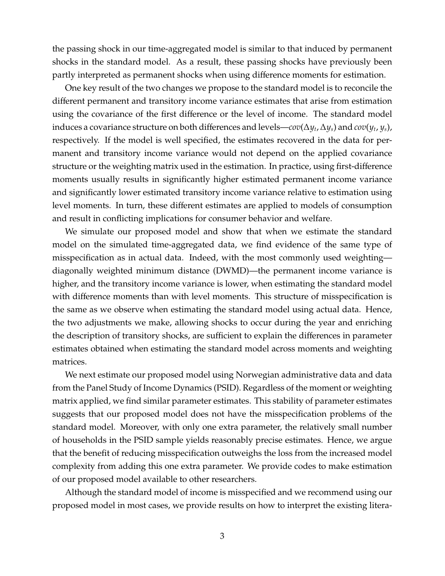the passing shock in our time-aggregated model is similar to that induced by permanent shocks in the standard model. As a result, these passing shocks have previously been partly interpreted as permanent shocks when using difference moments for estimation.

One key result of the two changes we propose to the standard model is to reconcile the different permanent and transitory income variance estimates that arise from estimation using the covariance of the first difference or the level of income. The standard model induces a covariance structure on both differences and levels—*cov*(∆*y<sup>t</sup>* ,∆*ys*) and *cov*(*y<sup>t</sup>* , *ys*), respectively. If the model is well specified, the estimates recovered in the data for permanent and transitory income variance would not depend on the applied covariance structure or the weighting matrix used in the estimation. In practice, using first-difference moments usually results in significantly higher estimated permanent income variance and significantly lower estimated transitory income variance relative to estimation using level moments. In turn, these different estimates are applied to models of consumption and result in conflicting implications for consumer behavior and welfare.

We simulate our proposed model and show that when we estimate the standard model on the simulated time-aggregated data, we find evidence of the same type of misspecification as in actual data. Indeed, with the most commonly used weighting diagonally weighted minimum distance (DWMD)—the permanent income variance is higher, and the transitory income variance is lower, when estimating the standard model with difference moments than with level moments. This structure of misspecification is the same as we observe when estimating the standard model using actual data. Hence, the two adjustments we make, allowing shocks to occur during the year and enriching the description of transitory shocks, are sufficient to explain the differences in parameter estimates obtained when estimating the standard model across moments and weighting matrices.

We next estimate our proposed model using Norwegian administrative data and data from the Panel Study of Income Dynamics (PSID). Regardless of the moment or weighting matrix applied, we find similar parameter estimates. This stability of parameter estimates suggests that our proposed model does not have the misspecification problems of the standard model. Moreover, with only one extra parameter, the relatively small number of households in the PSID sample yields reasonably precise estimates. Hence, we argue that the benefit of reducing misspecification outweighs the loss from the increased model complexity from adding this one extra parameter. We provide codes to make estimation of our proposed model available to other researchers.

Although the standard model of income is misspecified and we recommend using our proposed model in most cases, we provide results on how to interpret the existing litera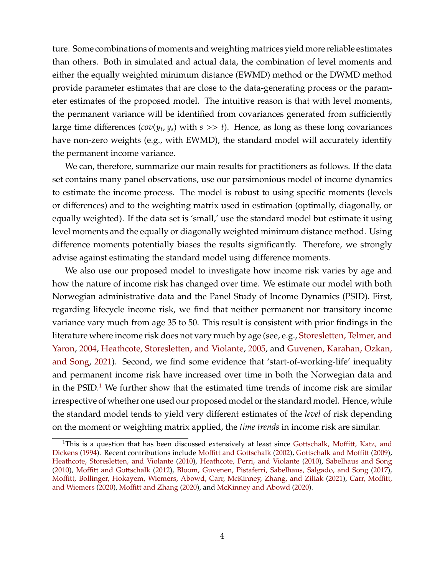ture. Some combinations of moments and weighting matrices yield more reliable estimates than others. Both in simulated and actual data, the combination of level moments and either the equally weighted minimum distance (EWMD) method or the DWMD method provide parameter estimates that are close to the data-generating process or the parameter estimates of the proposed model. The intuitive reason is that with level moments, the permanent variance will be identified from covariances generated from sufficiently large time differences (*cov*(*y<sup>t</sup>* , *ys*) with *s* >> *t*). Hence, as long as these long covariances have non-zero weights (e.g., with EWMD), the standard model will accurately identify the permanent income variance.

We can, therefore, summarize our main results for practitioners as follows. If the data set contains many panel observations, use our parsimonious model of income dynamics to estimate the income process. The model is robust to using specific moments (levels or differences) and to the weighting matrix used in estimation (optimally, diagonally, or equally weighted). If the data set is 'small,' use the standard model but estimate it using level moments and the equally or diagonally weighted minimum distance method. Using difference moments potentially biases the results significantly. Therefore, we strongly advise against estimating the standard model using difference moments.

We also use our proposed model to investigate how income risk varies by age and how the nature of income risk has changed over time. We estimate our model with both Norwegian administrative data and the Panel Study of Income Dynamics (PSID). First, regarding lifecycle income risk, we find that neither permanent nor transitory income variance vary much from age 35 to 50. This result is consistent with prior findings in the literature where income risk does not vary much by age (see, e.g., [Storesletten, Telmer, and](#page-33-1) [Yaron,](#page-33-1) [2004,](#page-33-1) [Heathcote, Storesletten, and Violante,](#page-32-2) [2005,](#page-32-2) and [Guvenen, Karahan, Ozkan,](#page-32-3) [and Song,](#page-32-3) [2021\)](#page-32-3). Second, we find some evidence that 'start-of-working-life' inequality and permanent income risk have increased over time in both the Norwegian data and in the PSID.<sup>[1](#page-4-0)</sup> We further show that the estimated time trends of income risk are similar irrespective of whether one used our proposed model or the standard model. Hence, while the standard model tends to yield very different estimates of the *level* of risk depending on the moment or weighting matrix applied, the *time trends* in income risk are similar.

<span id="page-4-0"></span><sup>&</sup>lt;sup>1</sup>This is a question that has been discussed extensively at least since [Gottschalk, Mo](#page-32-4)ffitt, Katz, and [Dickens](#page-32-4) [\(1994\)](#page-32-4). Recent contributions include Moffi[tt and Gottschalk](#page-32-5) [\(2002\)](#page-32-5), [Gottschalk and Mo](#page-32-6)ffitt [\(2009\)](#page-32-6), [Heathcote, Storesletten, and Violante](#page-32-7) [\(2010\)](#page-32-7), [Heathcote, Perri, and Violante](#page-32-1) [\(2010\)](#page-32-1), [Sabelhaus and Song](#page-33-2) [\(2010\)](#page-33-2), Moffi[tt and Gottschalk](#page-32-8) [\(2012\)](#page-32-8), [Bloom, Guvenen, Pistaferri, Sabelhaus, Salgado, and Song](#page-31-1) [\(2017\)](#page-31-1), Moffi[tt, Bollinger, Hokayem, Wiemers, Abowd, Carr, McKinney, Zhang, and Ziliak](#page-32-9) [\(2021\)](#page-32-9), [Carr, Mo](#page-31-2)ffitt, [and Wiemers](#page-31-2) [\(2020\)](#page-31-2), Moffi[tt and Zhang](#page-33-3) [\(2020\)](#page-33-3), and [McKinney and Abowd](#page-32-10) [\(2020\)](#page-32-10).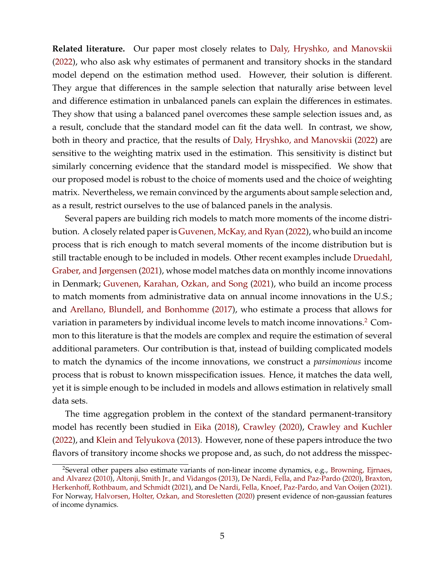**Related literature.** Our paper most closely relates to [Daly, Hryshko, and Manovskii](#page-31-0) [\(2022\)](#page-31-0), who also ask why estimates of permanent and transitory shocks in the standard model depend on the estimation method used. However, their solution is different. They argue that differences in the sample selection that naturally arise between level and difference estimation in unbalanced panels can explain the differences in estimates. They show that using a balanced panel overcomes these sample selection issues and, as a result, conclude that the standard model can fit the data well. In contrast, we show, both in theory and practice, that the results of [Daly, Hryshko, and Manovskii](#page-31-0) [\(2022\)](#page-31-0) are sensitive to the weighting matrix used in the estimation. This sensitivity is distinct but similarly concerning evidence that the standard model is misspecified. We show that our proposed model is robust to the choice of moments used and the choice of weighting matrix. Nevertheless, we remain convinced by the arguments about sample selection and, as a result, restrict ourselves to the use of balanced panels in the analysis.

Several papers are building rich models to match more moments of the income distribution. A closely related paper is [Guvenen, McKay, and Ryan](#page-32-11) [\(2022\)](#page-32-11), who build an income process that is rich enough to match several moments of the income distribution but is still tractable enough to be included in models. Other recent examples include [Druedahl,](#page-31-3) [Graber, and Jørgensen](#page-31-3) [\(2021\)](#page-31-3), whose model matches data on monthly income innovations in Denmark; [Guvenen, Karahan, Ozkan, and Song](#page-32-3) [\(2021\)](#page-32-3), who build an income process to match moments from administrative data on annual income innovations in the U.S.; and [Arellano, Blundell, and Bonhomme](#page-31-4) [\(2017\)](#page-31-4), who estimate a process that allows for variation in parameters by individual income levels to match income innovations.<sup>[2](#page-5-0)</sup> Common to this literature is that the models are complex and require the estimation of several additional parameters. Our contribution is that, instead of building complicated models to match the dynamics of the income innovations, we construct a *parsimonious* income process that is robust to known misspecification issues. Hence, it matches the data well, yet it is simple enough to be included in models and allows estimation in relatively small data sets.

The time aggregation problem in the context of the standard permanent-transitory model has recently been studied in [Eika](#page-31-5) [\(2018\)](#page-31-5), [Crawley](#page-31-6) [\(2020\)](#page-31-6), [Crawley and Kuchler](#page-31-7) [\(2022\)](#page-31-7), and [Klein and Telyukova](#page-32-12) [\(2013\)](#page-32-12). However, none of these papers introduce the two flavors of transitory income shocks we propose and, as such, do not address the misspec-

<span id="page-5-0"></span><sup>&</sup>lt;sup>2</sup>Several other papers also estimate variants of non-linear income dynamics, e.g., [Browning, Ejrnaes,](#page-31-8) [and Alvarez](#page-31-8) [\(2010\)](#page-31-8), [Altonji, Smith Jr., and Vidangos](#page-31-9) [\(2013\)](#page-31-9), [De Nardi, Fella, and Paz-Pardo](#page-31-10) [\(2020\)](#page-31-10), [Braxton,](#page-31-11) Herkenhoff[, Rothbaum, and Schmidt](#page-31-11) [\(2021\)](#page-31-11), and [De Nardi, Fella, Knoef, Paz-Pardo, and Van Ooijen](#page-31-12) [\(2021\)](#page-31-12). For Norway, [Halvorsen, Holter, Ozkan, and Storesletten](#page-32-13) [\(2020\)](#page-32-13) present evidence of non-gaussian features of income dynamics.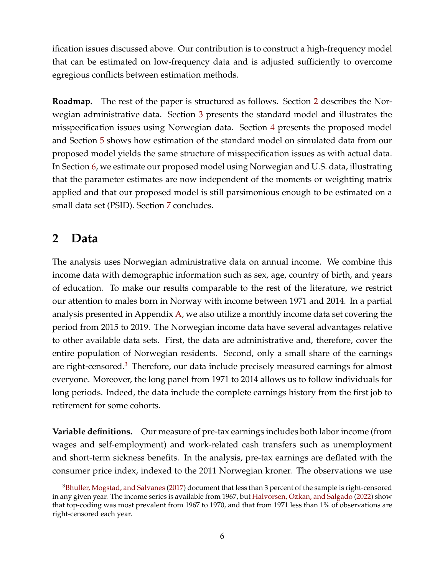ification issues discussed above. Our contribution is to construct a high-frequency model that can be estimated on low-frequency data and is adjusted sufficiently to overcome egregious conflicts between estimation methods.

**Roadmap.** The rest of the paper is structured as follows. Section [2](#page-6-0) describes the Norwegian administrative data. Section [3](#page-7-0) presents the standard model and illustrates the misspecification issues using Norwegian data. Section [4](#page-11-0) presents the proposed model and Section [5](#page-18-0) shows how estimation of the standard model on simulated data from our proposed model yields the same structure of misspecification issues as with actual data. In Section [6,](#page-23-0) we estimate our proposed model using Norwegian and U.S. data, illustrating that the parameter estimates are now independent of the moments or weighting matrix applied and that our proposed model is still parsimonious enough to be estimated on a small data set (PSID). Section [7](#page-30-0) concludes.

## <span id="page-6-0"></span>**2 Data**

The analysis uses Norwegian administrative data on annual income. We combine this income data with demographic information such as sex, age, country of birth, and years of education. To make our results comparable to the rest of the literature, we restrict our attention to males born in Norway with income between 1971 and 2014. In a partial analysis presented in Appendix [A,](#page-34-0) we also utilize a monthly income data set covering the period from 2015 to 2019. The Norwegian income data have several advantages relative to other available data sets. First, the data are administrative and, therefore, cover the entire population of Norwegian residents. Second, only a small share of the earnings are right-censored.<sup>[3](#page-6-1)</sup> Therefore, our data include precisely measured earnings for almost everyone. Moreover, the long panel from 1971 to 2014 allows us to follow individuals for long periods. Indeed, the data include the complete earnings history from the first job to retirement for some cohorts.

**Variable definitions.** Our measure of pre-tax earnings includes both labor income (from wages and self-employment) and work-related cash transfers such as unemployment and short-term sickness benefits. In the analysis, pre-tax earnings are deflated with the consumer price index, indexed to the 2011 Norwegian kroner. The observations we use

<span id="page-6-1"></span><sup>&</sup>lt;sup>3</sup>[Bhuller, Mogstad, and Salvanes](#page-31-13) [\(2017\)](#page-31-13) document that less than 3 percent of the sample is right-censored in any given year. The income series is available from 1967, but [Halvorsen, Ozkan, and Salgado](#page-32-14) [\(2022\)](#page-32-14) show that top-coding was most prevalent from 1967 to 1970, and that from 1971 less than 1% of observations are right-censored each year.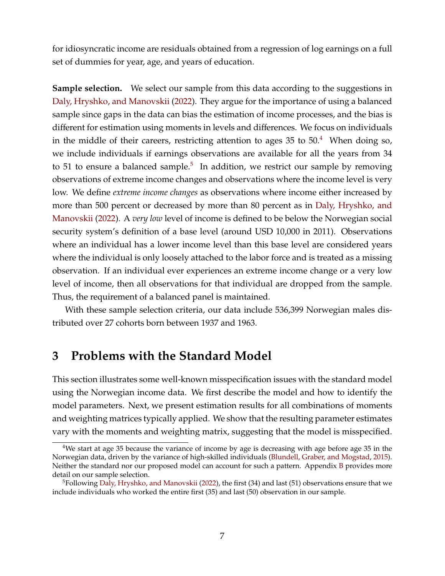for idiosyncratic income are residuals obtained from a regression of log earnings on a full set of dummies for year, age, and years of education.

**Sample selection.** We select our sample from this data according to the suggestions in [Daly, Hryshko, and Manovskii](#page-31-0) [\(2022\)](#page-31-0). They argue for the importance of using a balanced sample since gaps in the data can bias the estimation of income processes, and the bias is different for estimation using moments in levels and differences. We focus on individuals in the middle of their careers, restricting attention to ages  $35$  to  $50<sup>4</sup>$  $50<sup>4</sup>$  $50<sup>4</sup>$  When doing so, we include individuals if earnings observations are available for all the years from 34 to [5](#page-7-2)1 to ensure a balanced sample.<sup>5</sup> In addition, we restrict our sample by removing observations of extreme income changes and observations where the income level is very low. We define *extreme income changes* as observations where income either increased by more than 500 percent or decreased by more than 80 percent as in [Daly, Hryshko, and](#page-31-0) [Manovskii](#page-31-0) [\(2022\)](#page-31-0). A *very low* level of income is defined to be below the Norwegian social security system's definition of a base level (around USD 10,000 in 2011). Observations where an individual has a lower income level than this base level are considered years where the individual is only loosely attached to the labor force and is treated as a missing observation. If an individual ever experiences an extreme income change or a very low level of income, then all observations for that individual are dropped from the sample. Thus, the requirement of a balanced panel is maintained.

With these sample selection criteria, our data include 536,399 Norwegian males distributed over 27 cohorts born between 1937 and 1963.

### <span id="page-7-0"></span>**3 Problems with the Standard Model**

This section illustrates some well-known misspecification issues with the standard model using the Norwegian income data. We first describe the model and how to identify the model parameters. Next, we present estimation results for all combinations of moments and weighting matrices typically applied. We show that the resulting parameter estimates vary with the moments and weighting matrix, suggesting that the model is misspecified.

<span id="page-7-1"></span><sup>4</sup>We start at age 35 because the variance of income by age is decreasing with age before age 35 in the Norwegian data, driven by the variance of high-skilled individuals [\(Blundell, Graber, and Mogstad,](#page-31-14) [2015\)](#page-31-14). Neither the standard nor our proposed model can account for such a pattern. Appendix [B](#page-35-0) provides more detail on our sample selection.

<span id="page-7-2"></span><sup>5</sup>Following [Daly, Hryshko, and Manovskii](#page-31-0) [\(2022\)](#page-31-0), the first (34) and last (51) observations ensure that we include individuals who worked the entire first (35) and last (50) observation in our sample.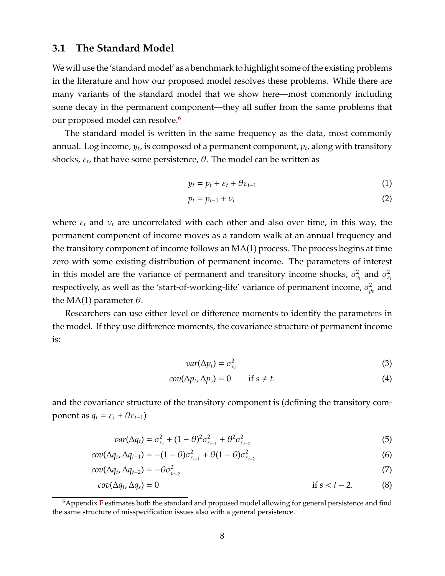#### <span id="page-8-2"></span>**3.1 The Standard Model**

We will use the 'standard model' as a benchmark to highlight some of the existing problems in the literature and how our proposed model resolves these problems. While there are many variants of the standard model that we show here—most commonly including some decay in the permanent component—they all suffer from the same problems that our proposed model can resolve.<sup>[6](#page-8-0)</sup>

The standard model is written in the same frequency as the data, most commonly annual. Log income*, y<sub>t</sub>,* is composed of a permanent component*, p<sub>t</sub>,* along with transitory shocks*, ε<sub>t</sub>,* that have some persistence*, θ*. The model can be written as

$$
y_t = p_t + \varepsilon_t + \theta \varepsilon_{t-1} \tag{1}
$$

$$
p_t = p_{t-1} + \nu_t \tag{2}
$$

where  $\varepsilon_t$  and  $v_t$  are uncorrelated with each other and also over time, in this way, the permanent component of income moves as a random walk at an annual frequency and the transitory component of income follows an MA(1) process. The process begins at time zero with some existing distribution of permanent income. The parameters of interest in this model are the variance of permanent and transitory income shocks,  $\sigma_{\nu_t}^2$  and  $\sigma_{\varepsilon_t}^2$ respectively, as well as the 'start-of-working-life' variance of permanent income,  $\sigma_{p_0}^2$  and the MA(1) parameter  $\theta$ .

Researchers can use either level or difference moments to identify the parameters in the model. If they use difference moments, the covariance structure of permanent income is:

<span id="page-8-1"></span>
$$
var(\Delta p_t) = \sigma_{\nu_t}^2 \tag{3}
$$

$$
cov(\Delta p_t, \Delta p_s) = 0 \qquad \text{if } s \neq t. \tag{4}
$$

and the covariance structure of the transitory component is (defining the transitory component as  $q_t = \varepsilon_t + \theta \varepsilon_{t-1}$ )

$$
var(\Delta q_t) = \sigma_{\varepsilon_t}^2 + (1 - \theta)^2 \sigma_{\varepsilon_{t-1}}^2 + \theta^2 \sigma_{\varepsilon_{t-2}}^2 \tag{5}
$$

$$
cov(\Delta q_t, \Delta q_{t-1}) = -(1 - \theta)\sigma_{\varepsilon_{t-1}}^2 + \theta(1 - \theta)\sigma_{\varepsilon_{t-2}}^2
$$
\n(6)

$$
cov(\Delta q_t, \Delta q_{t-2}) = -\theta \sigma_{\varepsilon_{t-2}}^2 \tag{7}
$$

$$
cov(\Delta q_t, \Delta q_s) = 0
$$
 if  $s < t - 2$ . (8)

<span id="page-8-0"></span> $6$ Appendix [F](#page-42-0) estimates both the standard and proposed model allowing for general persistence and find the same structure of misspecification issues also with a general persistence.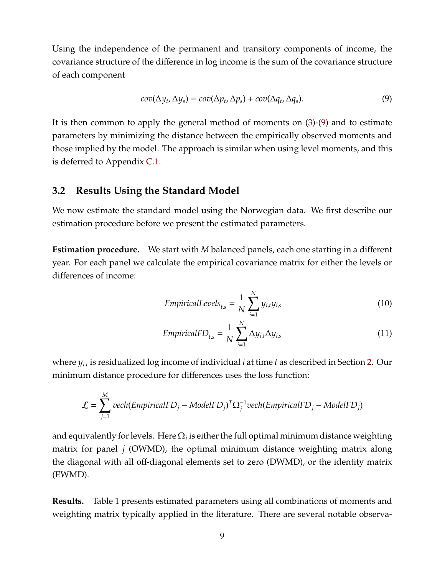Using the independence of the permanent and transitory components of income, the covariance structure of the difference in log income is the sum of the covariance structure of each component

<span id="page-9-0"></span>
$$
cov(\Delta y_t, \Delta y_s) = cov(\Delta p_t, \Delta p_s) + cov(\Delta q_t, \Delta q_s). \tag{9}
$$

It is then common to apply the general method of moments on [\(3\)](#page-8-1)-[\(9\)](#page-9-0) and to estimate parameters by minimizing the distance between the empirically observed moments and those implied by the model. The approach is similar when using level moments, and this is deferred to Appendix [C.1.](#page-36-0)

#### **3.2 Results Using the Standard Model**

We now estimate the standard model using the Norwegian data. We first describe our estimation procedure before we present the estimated parameters.

**Estimation procedure.** We start with *M* balanced panels, each one starting in a different year. For each panel we calculate the empirical covariance matrix for either the levels or differences of income:

<span id="page-9-1"></span>
$$
Empirical Levels_{t,s} = \frac{1}{N} \sum_{i=1}^{N} y_{i,t} y_{i,s}
$$
\n(10)

<span id="page-9-2"></span>
$$
EmpiricalFD_{t,s} = \frac{1}{N} \sum_{i=1}^{N} \Delta y_{i,t} \Delta y_{i,s}
$$
\n(11)

where *yi*.*<sup>t</sup>* is residualized log income of individual *i* at time *t* as described in Section [2.](#page-6-0) Our minimum distance procedure for differences uses the loss function:

$$
\mathcal{L} = \sum_{j=1}^{M} vech(EmpiricalFD_j - ModelFD_j)^T \Omega_j^{-1} vech(EmpiricalFD_j - ModelFD_j)
$$

and equivalently for levels. Here  $\Omega_j$  is either the full optimal minimum distance weighting matrix for panel *j* (OWMD), the optimal minimum distance weighting matrix along the diagonal with all off-diagonal elements set to zero (DWMD), or the identity matrix (EWMD).

**Results.** Table [1](#page-10-0) presents estimated parameters using all combinations of moments and weighting matrix typically applied in the literature. There are several notable observa-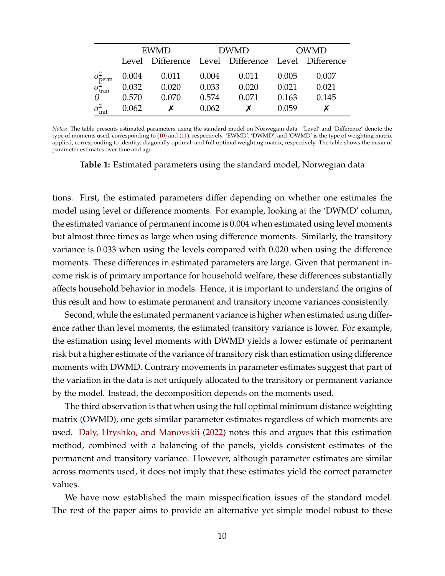<span id="page-10-0"></span>

|                          | <b>EWMD</b> |       |       | <b>DWMD</b>                                        | <b>OWMD</b> |       |  |
|--------------------------|-------------|-------|-------|----------------------------------------------------|-------------|-------|--|
|                          |             |       |       | Level Difference Level Difference Level Difference |             |       |  |
| $\sigma_{\text{perm}}^2$ | 0.004       | 0.011 | 0.004 | 0.011                                              | 0.005       | 0.007 |  |
| $\sigma_{\text{tran}}^2$ | 0.032       | 0.020 | 0.033 | 0.020                                              | 0.021       | 0.021 |  |
| $\theta$                 | 0.570       | 0.070 | 0.574 | 0.071                                              | 0.163       | 0.145 |  |
| $\sigma_{\text{init}}^2$ | 0.062       |       | 0.062 |                                                    | 0.059       |       |  |

*Notes:* The table presents estimated parameters using the standard model on Norwegian data. 'Level' and 'Difference' denote the type of moments used, corresponding to [\(10\)](#page-9-1) and [\(11\)](#page-9-2), respectively. 'EWMD', 'DWMD', and 'OWMD' is the type of weighting matrix applied, corresponding to identity, diagonally optimal, and full optimal weighting matrix, respectively. The table shows the mean of parameter estimates over time and age.

**Table 1:** Estimated parameters using the standard model, Norwegian data

tions. First, the estimated parameters differ depending on whether one estimates the model using level or difference moments. For example, looking at the 'DWMD' column, the estimated variance of permanent income is 0.004 when estimated using level moments but almost three times as large when using difference moments. Similarly, the transitory variance is 0.033 when using the levels compared with 0.020 when using the difference moments. These differences in estimated parameters are large. Given that permanent income risk is of primary importance for household welfare, these differences substantially affects household behavior in models. Hence, it is important to understand the origins of this result and how to estimate permanent and transitory income variances consistently.

Second, while the estimated permanent variance is higher when estimated using difference rather than level moments, the estimated transitory variance is lower. For example, the estimation using level moments with DWMD yields a lower estimate of permanent risk but a higher estimate of the variance of transitory risk than estimation using difference moments with DWMD. Contrary movements in parameter estimates suggest that part of the variation in the data is not uniquely allocated to the transitory or permanent variance by the model. Instead, the decomposition depends on the moments used.

The third observation is that when using the full optimal minimum distance weighting matrix (OWMD), one gets similar parameter estimates regardless of which moments are used. [Daly, Hryshko, and Manovskii](#page-31-0) [\(2022\)](#page-31-0) notes this and argues that this estimation method, combined with a balancing of the panels, yields consistent estimates of the permanent and transitory variance. However, although parameter estimates are similar across moments used, it does not imply that these estimates yield the correct parameter values.

We have now established the main misspecification issues of the standard model. The rest of the paper aims to provide an alternative yet simple model robust to these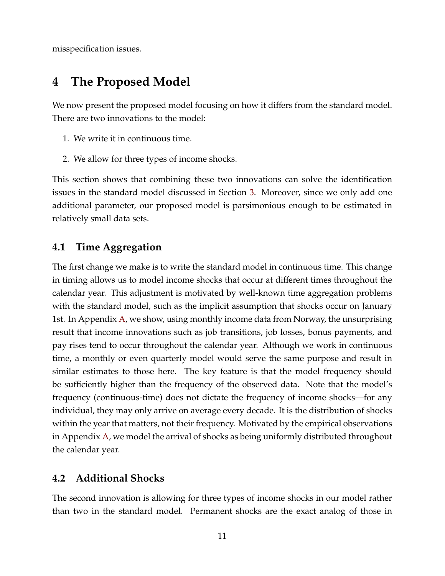misspecification issues.

## <span id="page-11-0"></span>**4 The Proposed Model**

We now present the proposed model focusing on how it differs from the standard model. There are two innovations to the model:

- 1. We write it in continuous time.
- 2. We allow for three types of income shocks.

This section shows that combining these two innovations can solve the identification issues in the standard model discussed in Section [3.](#page-7-0) Moreover, since we only add one additional parameter, our proposed model is parsimonious enough to be estimated in relatively small data sets.

### **4.1 Time Aggregation**

The first change we make is to write the standard model in continuous time. This change in timing allows us to model income shocks that occur at different times throughout the calendar year. This adjustment is motivated by well-known time aggregation problems with the standard model, such as the implicit assumption that shocks occur on January 1st. In Appendix [A,](#page-34-0) we show, using monthly income data from Norway, the unsurprising result that income innovations such as job transitions, job losses, bonus payments, and pay rises tend to occur throughout the calendar year. Although we work in continuous time, a monthly or even quarterly model would serve the same purpose and result in similar estimates to those here. The key feature is that the model frequency should be sufficiently higher than the frequency of the observed data. Note that the model's frequency (continuous-time) does not dictate the frequency of income shocks—for any individual, they may only arrive on average every decade. It is the distribution of shocks within the year that matters, not their frequency. Motivated by the empirical observations in Appendix [A,](#page-34-0) we model the arrival of shocks as being uniformly distributed throughout the calendar year.

### **4.2 Additional Shocks**

The second innovation is allowing for three types of income shocks in our model rather than two in the standard model. Permanent shocks are the exact analog of those in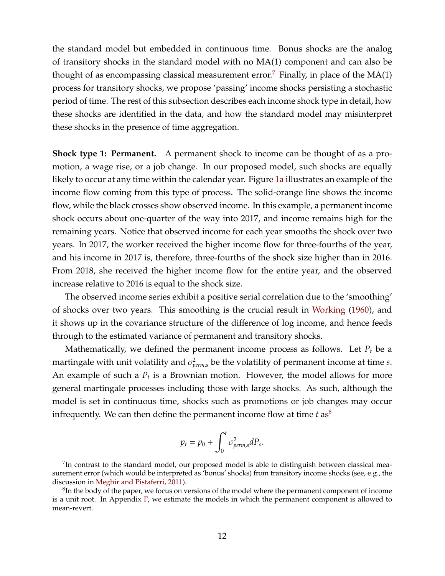the standard model but embedded in continuous time. Bonus shocks are the analog of transitory shocks in the standard model with no MA(1) component and can also be thought of as encompassing classical measurement error.<sup>[7](#page-12-0)</sup> Finally, in place of the  $MA(1)$ process for transitory shocks, we propose 'passing' income shocks persisting a stochastic period of time. The rest of this subsection describes each income shock type in detail, how these shocks are identified in the data, and how the standard model may misinterpret these shocks in the presence of time aggregation.

**Shock type 1: Permanent.** A permanent shock to income can be thought of as a promotion, a wage rise, or a job change. In our proposed model, such shocks are equally likely to occur at any time within the calendar year. Figure [1a](#page-13-0) illustrates an example of the income flow coming from this type of process. The solid-orange line shows the income flow, while the black crosses show observed income. In this example, a permanent income shock occurs about one-quarter of the way into 2017, and income remains high for the remaining years. Notice that observed income for each year smooths the shock over two years. In 2017, the worker received the higher income flow for three-fourths of the year, and his income in 2017 is, therefore, three-fourths of the shock size higher than in 2016. From 2018, she received the higher income flow for the entire year, and the observed increase relative to 2016 is equal to the shock size.

The observed income series exhibit a positive serial correlation due to the 'smoothing' of shocks over two years. This smoothing is the crucial result in [Working](#page-33-0) [\(1960\)](#page-33-0), and it shows up in the covariance structure of the difference of log income, and hence feeds through to the estimated variance of permanent and transitory shocks.

Mathematically, we defined the permanent income process as follows. Let  $P_t$  be a martingale with unit volatility and  $\sigma_{perm,s}^2$  be the volatility of permanent income at time *s*. An example of such a *P<sup>t</sup>* is a Brownian motion. However, the model allows for more general martingale processes including those with large shocks. As such, although the model is set in continuous time, shocks such as promotions or job changes may occur infrequently. We can then define the permanent income flow at time  $t$  as<sup>[8](#page-12-1)</sup>

$$
p_t = p_0 + \int_0^t \sigma_{perm,s}^2 dP_s.
$$

<span id="page-12-0"></span> $^{7}$ In contrast to the standard model, our proposed model is able to distinguish between classical measurement error (which would be interpreted as 'bonus' shocks) from transitory income shocks (see, e.g., the discussion in [Meghir and Pistaferri,](#page-32-15) [2011\)](#page-32-15).

<span id="page-12-1"></span> ${}^{8}{\rm In}$  the body of the paper, we focus on versions of the model where the permanent component of income is a unit root. In Appendix [F,](#page-42-0) we estimate the models in which the permanent component is allowed to mean-revert.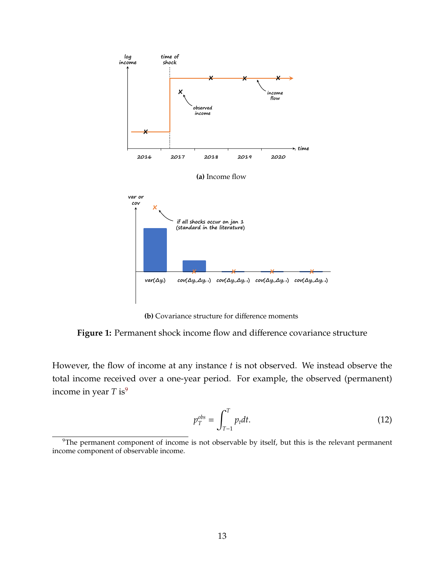<span id="page-13-0"></span>

**(b)** Covariance structure for difference moments

<span id="page-13-2"></span>**Figure 1:** Permanent shock income flow and difference covariance structure

However, the flow of income at any instance *t* is not observed. We instead observe the total income received over a one-year period. For example, the observed (permanent) income in year  $T$  is<sup>[9](#page-13-1)</sup>

<span id="page-13-3"></span>
$$
p_T^{obs} = \int_{T-1}^T p_t dt. \tag{12}
$$

<span id="page-13-1"></span> $9$ The permanent component of income is not observable by itself, but this is the relevant permanent income component of observable income.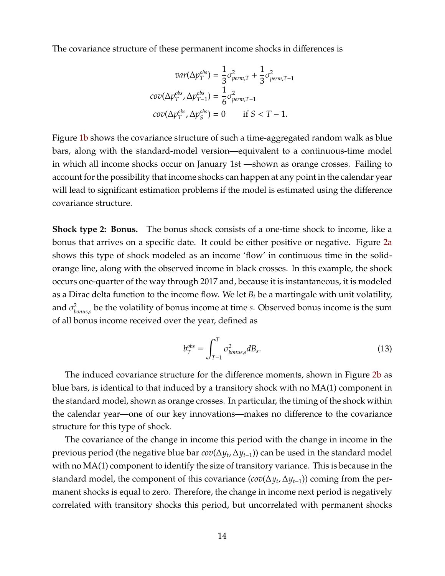The covariance structure of these permanent income shocks in differences is

$$
var(\Delta p_T^{obs}) = \frac{1}{3}\sigma_{perm,T}^2 + \frac{1}{3}\sigma_{perm,T-1}^2
$$

$$
cov(\Delta p_T^{obs}, \Delta p_{T-1}^{obs}) = \frac{1}{6}\sigma_{perm,T-1}^2
$$

$$
cov(\Delta p_T^{obs}, \Delta p_S^{obs}) = 0 \quad \text{if } S < T-1.
$$

Figure [1b](#page-13-2) shows the covariance structure of such a time-aggregated random walk as blue bars, along with the standard-model version—equivalent to a continuous-time model in which all income shocks occur on January 1st —shown as orange crosses. Failing to account for the possibility that income shocks can happen at any point in the calendar year will lead to significant estimation problems if the model is estimated using the difference covariance structure.

**Shock type 2: Bonus.** The bonus shock consists of a one-time shock to income, like a bonus that arrives on a specific date. It could be either positive or negative. Figure [2a](#page-15-0) shows this type of shock modeled as an income 'flow' in continuous time in the solidorange line, along with the observed income in black crosses. In this example, the shock occurs one-quarter of the way through 2017 and, because it is instantaneous, it is modeled as a Dirac delta function to the income flow. We let *B<sup>t</sup>* be a martingale with unit volatility, and  $\sigma_h^2$ *bonus*,*s* be the volatility of bonus income at time *s*. Observed bonus income is the sum of all bonus income received over the year, defined as

<span id="page-14-0"></span>
$$
b_T^{obs} = \int_{T-1}^T \sigma_{bonus,s}^2 dB_s.
$$
 (13)

The induced covariance structure for the difference moments, shown in Figure [2b](#page-15-1) as blue bars, is identical to that induced by a transitory shock with no MA(1) component in the standard model, shown as orange crosses. In particular, the timing of the shock within the calendar year—one of our key innovations—makes no difference to the covariance structure for this type of shock.

The covariance of the change in income this period with the change in income in the previous period (the negative blue bar *cov*(∆*y<sup>t</sup>* ,∆*yt*−1)) can be used in the standard model with no MA(1) component to identify the size of transitory variance. This is because in the standard model, the component of this covariance (*cov*(∆*y<sup>t</sup>* ,∆*yt*−1)) coming from the permanent shocks is equal to zero. Therefore, the change in income next period is negatively correlated with transitory shocks this period, but uncorrelated with permanent shocks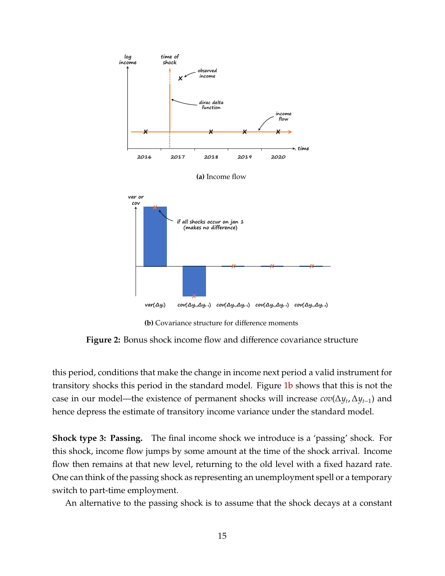<span id="page-15-1"></span><span id="page-15-0"></span>

**(b)** Covariance structure for difference moments

**Figure 2:** Bonus shock income flow and difference covariance structure

this period, conditions that make the change in income next period a valid instrument for transitory shocks this period in the standard model. Figure [1b](#page-13-2) shows that this is not the case in our model—the existence of permanent shocks will increase *cov*(∆*y<sup>t</sup>* ,∆*yt*−1) and hence depress the estimate of transitory income variance under the standard model.

**Shock type 3: Passing.** The final income shock we introduce is a 'passing' shock. For this shock, income flow jumps by some amount at the time of the shock arrival. Income flow then remains at that new level, returning to the old level with a fixed hazard rate. One can think of the passing shock as representing an unemployment spell or a temporary switch to part-time employment.

An alternative to the passing shock is to assume that the shock decays at a constant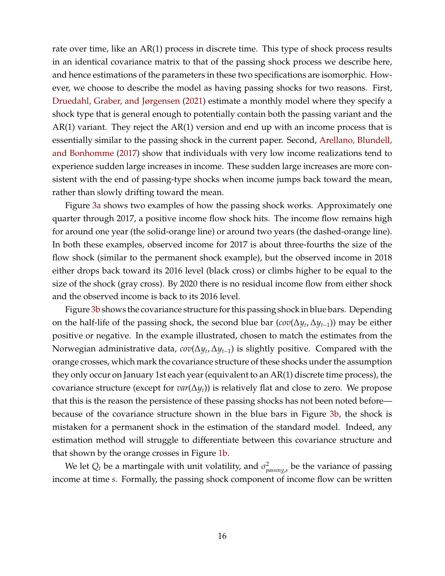rate over time, like an AR(1) process in discrete time. This type of shock process results in an identical covariance matrix to that of the passing shock process we describe here, and hence estimations of the parameters in these two specifications are isomorphic. However, we choose to describe the model as having passing shocks for two reasons. First, [Druedahl, Graber, and Jørgensen](#page-31-3) [\(2021\)](#page-31-3) estimate a monthly model where they specify a shock type that is general enough to potentially contain both the passing variant and the AR(1) variant. They reject the AR(1) version and end up with an income process that is essentially similar to the passing shock in the current paper. Second, [Arellano, Blundell,](#page-31-4) [and Bonhomme](#page-31-4) [\(2017\)](#page-31-4) show that individuals with very low income realizations tend to experience sudden large increases in income. These sudden large increases are more consistent with the end of passing-type shocks when income jumps back toward the mean, rather than slowly drifting toward the mean.

Figure [3a](#page-17-0) shows two examples of how the passing shock works. Approximately one quarter through 2017, a positive income flow shock hits. The income flow remains high for around one year (the solid-orange line) or around two years (the dashed-orange line). In both these examples, observed income for 2017 is about three-fourths the size of the flow shock (similar to the permanent shock example), but the observed income in 2018 either drops back toward its 2016 level (black cross) or climbs higher to be equal to the size of the shock (gray cross). By 2020 there is no residual income flow from either shock and the observed income is back to its 2016 level.

Figure [3b](#page-17-1) shows the covariance structure for this passing shock in blue bars. Depending on the half-life of the passing shock, the second blue bar (*cov*(∆*y<sup>t</sup>* ,∆*yt*−1)) may be either positive or negative. In the example illustrated, chosen to match the estimates from the Norwegian administrative data, *cov*(∆*y<sup>t</sup>* ,∆*yt*−1) is slightly positive. Compared with the orange crosses, which mark the covariance structure of these shocks under the assumption they only occur on January 1st each year (equivalent to an AR(1) discrete time process), the covariance structure (except for *var*(∆*yt*)) is relatively flat and close to zero. We propose that this is the reason the persistence of these passing shocks has not been noted before because of the covariance structure shown in the blue bars in Figure [3b,](#page-17-1) the shock is mistaken for a permanent shock in the estimation of the standard model. Indeed, any estimation method will struggle to differentiate between this covariance structure and that shown by the orange crosses in Figure [1b.](#page-13-2)

We let  $Q_t$  be a martingale with unit volatility, and  $\sigma_p^2$ *passing*,*s* be the variance of passing income at time *s*. Formally, the passing shock component of income flow can be written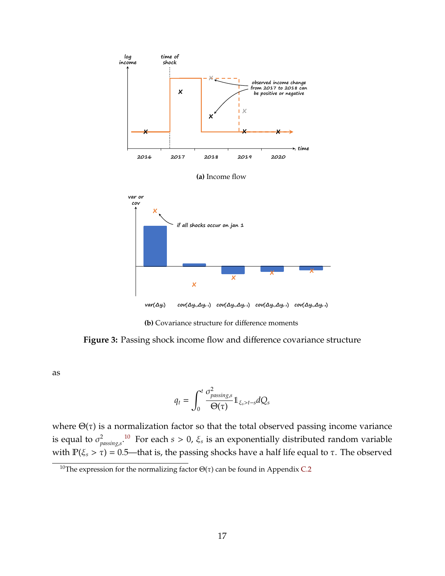<span id="page-17-1"></span><span id="page-17-0"></span>

**(b)** Covariance structure for difference moments

**Figure 3:** Passing shock income flow and difference covariance structure

as

$$
q_t = \int_0^t \frac{\sigma_{passings}^2}{\Theta(\tau)} \mathbb{1}_{\xi_s > t-s} dQ_s
$$

where  $\Theta(\tau)$  is a normalization factor so that the total observed passing income variance is equal to  $\sigma_n^2$ *passing*,*s* . [10](#page-17-2) For each *s* > 0, ξ*<sup>s</sup>* is an exponentially distributed random variable with  $\mathbb{P}(\xi_s > \tau) = 0.5$ —that is, the passing shocks have a half life equal to  $\tau$ . The observed

<span id="page-17-2"></span><sup>&</sup>lt;sup>10</sup>The expression for the normalizing factor  $Θ(τ)$  can be found in Appendix [C.2](#page-37-0)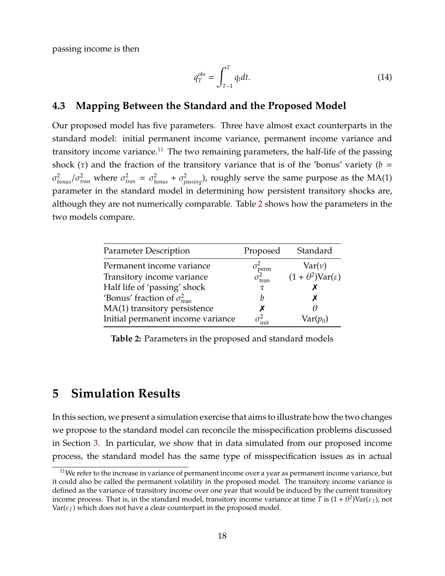passing income is then

<span id="page-18-3"></span>
$$
q_T^{obs} = \int_{T-1}^T q_t dt. \tag{14}
$$

#### **4.3 Mapping Between the Standard and the Proposed Model**

Our proposed model has five parameters. Three have almost exact counterparts in the standard model: initial permanent income variance, permanent income variance and transitory income variance.<sup>[11](#page-18-1)</sup> The two remaining parameters, the half-life of the passing shock ( $\tau$ ) and the fraction of the transitory variance that is of the 'bonus' variety ( $b =$  $\sigma_{bonus}^2/\sigma_{tran}^2$  where  $\sigma_{tran}^2 = \sigma_{bonus}^2 + \sigma_{passing}^2$ ), roughly serve the same purpose as the MA(1) parameter in the standard model in determining how persistent transitory shocks are, although they are not numerically comparable. Table [2](#page-18-2) shows how the parameters in the two models compare.

<span id="page-18-2"></span>

| <b>Parameter Description</b>                 | Proposed               | Standard                               |
|----------------------------------------------|------------------------|----------------------------------------|
| Permanent income variance                    | $\tau_{\text{perm}}^2$ | $\text{Var}(\nu)$                      |
| Transitory income variance                   | $\tau_{\text{tran}}^2$ | $(1+\theta^2) \text{Var}(\varepsilon)$ |
| Half life of 'passing' shock                 | τ                      |                                        |
| 'Bonus' fraction of $\sigma_{\text{tran}}^2$ | h                      |                                        |
| MA(1) transitory persistence                 |                        |                                        |
| Initial permanent income variance            |                        | $Var(p_0)$                             |

**Table 2:** Parameters in the proposed and standard models

### <span id="page-18-0"></span>**5 Simulation Results**

In this section, we present a simulation exercise that aims to illustrate how the two changes we propose to the standard model can reconcile the misspecification problems discussed in Section [3.](#page-7-0) In particular, we show that in data simulated from our proposed income process, the standard model has the same type of misspecification issues as in actual

<span id="page-18-1"></span> $11$ We refer to the increase in variance of permanent income over a year as permanent income variance, but it could also be called the permanent volatility in the proposed model. The transitory income variance is defined as the variance of transitory income over one year that would be induced by the current transitory income process. That is, in the standard model, transitory income variance at time  $T$  is  $(1+\theta^2) \text{Var}(\varepsilon_T)$ , not  $Var(\varepsilon_T)$  which does not have a clear counterpart in the proposed model.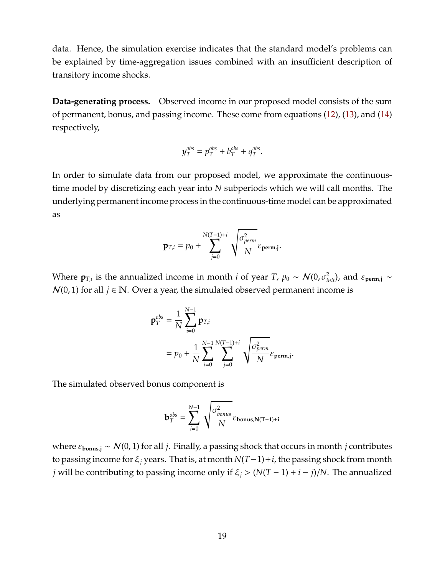data. Hence, the simulation exercise indicates that the standard model's problems can be explained by time-aggregation issues combined with an insufficient description of transitory income shocks.

**Data-generating process.** Observed income in our proposed model consists of the sum of permanent, bonus, and passing income. These come from equations [\(12\)](#page-13-3), [\(13\)](#page-14-0), and [\(14\)](#page-18-3) respectively,

$$
y_T^{obs} = p_T^{obs} + b_T^{obs} + q_T^{obs}.
$$

In order to simulate data from our proposed model, we approximate the continuoustime model by discretizing each year into *N* subperiods which we will call months. The underlying permanent income process in the continuous-time model can be approximated as

$$
\mathbf{p}_{T,i} = p_0 + \sum_{j=0}^{N(T-1)+i} \sqrt{\frac{\sigma_{perm}^2}{N}} \varepsilon_{\mathbf{perm},j}.
$$

Where  $\mathbf{p}_{T,i}$  is the annualized income in month *i* of year *T*,  $p_0 \sim \mathcal{N}(0, \sigma_{init}^2)$ , and  $\varepsilon_{\text{perm},j} \sim$  $N(0, 1)$  for all  $j \in \mathbb{N}$ . Over a year, the simulated observed permanent income is

$$
\mathbf{p}_T^{obs} = \frac{1}{N} \sum_{i=0}^{N-1} \mathbf{p}_{T,i}
$$
  
=  $p_0 + \frac{1}{N} \sum_{i=0}^{N-1} \sum_{j=0}^{N(T-1)+i} \sqrt{\frac{\sigma_{perm}^2}{N}} \varepsilon_{\text{perm},j}.$ 

The simulated observed bonus component is

$$
\mathbf{b}_{T}^{obs} = \sum_{i=0}^{N-1} \sqrt{\frac{\sigma_{bonus}^2}{N}} \varepsilon_{\mathbf{bonus},\mathbf{N(T-1)+i}}
$$

where  $\varepsilon_{\text{bonus},j} \sim \mathcal{N}(0, 1)$  for all *j*. Finally, a passing shock that occurs in month *j* contributes to passing income for ξ*<sup>j</sup>* years. That is, at month *N*(*T*−1)+*i*, the passing shock from month *j* will be contributing to passing income only if ξ*<sup>j</sup>* > (*N*(*T* − 1) + *i* − *j*)/*N*. The annualized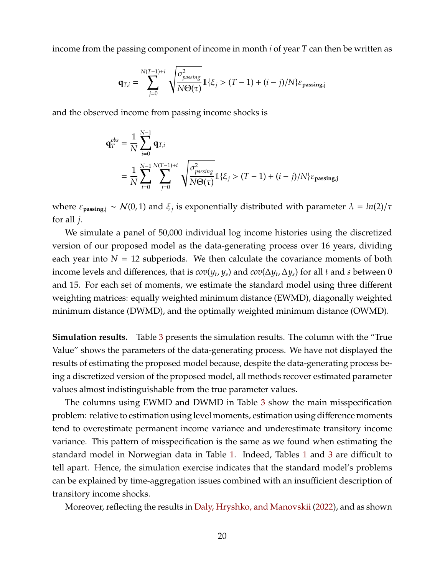income from the passing component of income in month *i* of year *T* can then be written as

$$
\mathbf{q}_{T,i} = \sum_{j=0}^{N(T-1)+i} \sqrt{\frac{\sigma_{passing}^2}{N\Theta(\tau)}} 1\{\xi_j > (T-1) + (i-j)/N\}\varepsilon_{passing,j}
$$

and the observed income from passing income shocks is

$$
\mathbf{q}_{T}^{obs} = \frac{1}{N} \sum_{i=0}^{N-1} \mathbf{q}_{T,i}
$$
  
=  $\frac{1}{N} \sum_{i=0}^{N-1} \sum_{j=0}^{N(T-1)+i} \sqrt{\frac{\sigma_{passing}^{2}}{N\Theta(\tau)}} 1\{\xi_{j} > (T-1) + (i - j)/N\}\varepsilon_{passing,j}$ 

where  $\varepsilon_{\text{passing},j} \sim \mathcal{N}(0,1)$  and  $\xi_j$  is exponentially distributed with parameter  $\lambda = ln(2)/\tau$ for all *j*.

We simulate a panel of 50,000 individual log income histories using the discretized version of our proposed model as the data-generating process over 16 years, dividing each year into  $N = 12$  subperiods. We then calculate the covariance moments of both income levels and differences, that is  $cov(y_t, y_s)$  and  $cov(\Delta y_t, \Delta y_s)$  for all *t* and *s* between 0 and 15. For each set of moments, we estimate the standard model using three different weighting matrices: equally weighted minimum distance (EWMD), diagonally weighted minimum distance (DWMD), and the optimally weighted minimum distance (OWMD).

**Simulation results.** Table [3](#page-21-0) presents the simulation results. The column with the "True Value" shows the parameters of the data-generating process. We have not displayed the results of estimating the proposed model because, despite the data-generating process being a discretized version of the proposed model, all methods recover estimated parameter values almost indistinguishable from the true parameter values.

The columns using EWMD and DWMD in Table [3](#page-21-0) show the main misspecification problem: relative to estimation using level moments, estimation using difference moments tend to overestimate permanent income variance and underestimate transitory income variance. This pattern of misspecification is the same as we found when estimating the standard model in Norwegian data in Table [1.](#page-10-0) Indeed, Tables [1](#page-10-0) and [3](#page-21-0) are difficult to tell apart. Hence, the simulation exercise indicates that the standard model's problems can be explained by time-aggregation issues combined with an insufficient description of transitory income shocks.

Moreover, reflecting the results in [Daly, Hryshko, and Manovskii](#page-31-0) [\(2022\)](#page-31-0), and as shown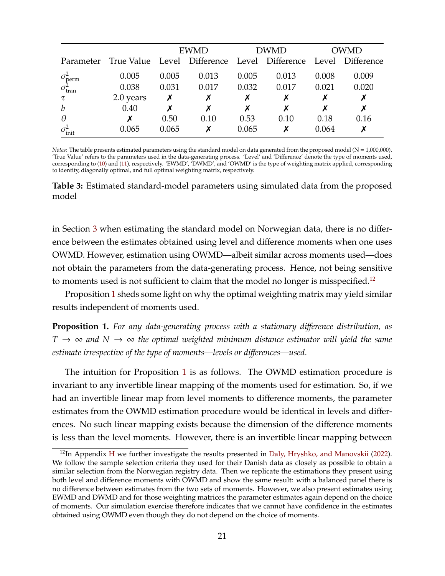<span id="page-21-0"></span>

|                          |                                                                         | <b>EWMD</b> |       | <b>DWMD</b> |       | <b>OWMD</b> |       |
|--------------------------|-------------------------------------------------------------------------|-------------|-------|-------------|-------|-------------|-------|
|                          | Parameter True Value Level Difference Level Difference Level Difference |             |       |             |       |             |       |
| $\sigma_{\text{perm}}^2$ | 0.005                                                                   | 0.005       | 0.013 | 0.005       | 0.013 | 0.008       | 0.009 |
| $\sigma_{\text{tran}}^2$ | 0.038                                                                   | 0.031       | 0.017 | 0.032       | 0.017 | 0.021       | 0.020 |
| τ                        | 2.0 years                                                               |             |       |             |       |             |       |
| $\boldsymbol{b}$         | 0.40                                                                    |             |       |             |       |             | X     |
| $\theta$                 |                                                                         | 0.50        | 0.10  | 0.53        | 0.10  | 0.18        | 0.16  |
| $\sigma_{\text{init}}^2$ | 0.065                                                                   | 0.065       |       | 0.065       | х     | 0.064       |       |

*Notes:* The table presents estimated parameters using the standard model on data generated from the proposed model (N = 1,000,000). 'True Value' refers to the parameters used in the data-generating process. 'Level' and 'Difference' denote the type of moments used, corresponding to [\(10\)](#page-9-1) and [\(11\)](#page-9-2), respectively. 'EWMD', 'DWMD', and 'OWMD' is the type of weighting matrix applied, corresponding to identity, diagonally optimal, and full optimal weighting matrix, respectively.

**Table 3:** Estimated standard-model parameters using simulated data from the proposed model

in Section [3](#page-7-0) when estimating the standard model on Norwegian data, there is no difference between the estimates obtained using level and difference moments when one uses OWMD. However, estimation using OWMD—albeit similar across moments used—does not obtain the parameters from the data-generating process. Hence, not being sensitive to moments used is not sufficient to claim that the model no longer is misspecified.<sup>[12](#page-21-1)</sup>

Proposition [1](#page-21-2) sheds some light on why the optimal weighting matrix may yield similar results independent of moments used.

<span id="page-21-2"></span>**Proposition 1.** *For any data-generating process with a stationary di*ff*erence distribution, as*  $T \rightarrow \infty$  and  $N \rightarrow \infty$  the optimal weighted minimum distance estimator will yield the same *estimate irrespective of the type of moments—levels or di*ff*erences—used.*

The intuition for Proposition [1](#page-21-2) is as follows. The OWMD estimation procedure is invariant to any invertible linear mapping of the moments used for estimation. So, if we had an invertible linear map from level moments to difference moments, the parameter estimates from the OWMD estimation procedure would be identical in levels and differences. No such linear mapping exists because the dimension of the difference moments is less than the level moments. However, there is an invertible linear mapping between

<span id="page-21-1"></span> $12$ In Appendix [H](#page-46-0) we further investigate the results presented in [Daly, Hryshko, and Manovskii](#page-31-0) [\(2022\)](#page-31-0). We follow the sample selection criteria they used for their Danish data as closely as possible to obtain a similar selection from the Norwegian registry data. Then we replicate the estimations they present using both level and difference moments with OWMD and show the same result: with a balanced panel there is no difference between estimates from the two sets of moments. However, we also present estimates using EWMD and DWMD and for those weighting matrices the parameter estimates again depend on the choice of moments. Our simulation exercise therefore indicates that we cannot have confidence in the estimates obtained using OWMD even though they do not depend on the choice of moments.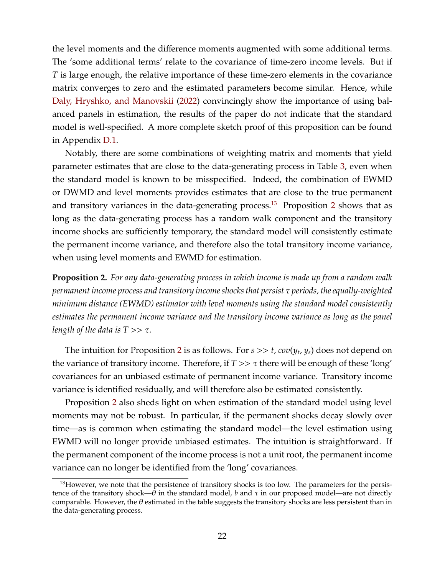the level moments and the difference moments augmented with some additional terms. The 'some additional terms' relate to the covariance of time-zero income levels. But if *T* is large enough, the relative importance of these time-zero elements in the covariance matrix converges to zero and the estimated parameters become similar. Hence, while [Daly, Hryshko, and Manovskii](#page-31-0) [\(2022\)](#page-31-0) convincingly show the importance of using balanced panels in estimation, the results of the paper do not indicate that the standard model is well-specified. A more complete sketch proof of this proposition can be found in Appendix [D.1.](#page-39-0)

Notably, there are some combinations of weighting matrix and moments that yield parameter estimates that are close to the data-generating process in Table [3,](#page-21-0) even when the standard model is known to be misspecified. Indeed, the combination of EWMD or DWMD and level moments provides estimates that are close to the true permanent and transitory variances in the data-generating process.<sup>[13](#page-22-0)</sup> Proposition [2](#page-22-1) shows that as long as the data-generating process has a random walk component and the transitory income shocks are sufficiently temporary, the standard model will consistently estimate the permanent income variance, and therefore also the total transitory income variance, when using level moments and EWMD for estimation.

<span id="page-22-1"></span>**Proposition 2.** *For any data-generating process in which income is made up from a random walk permanent income process and transitory income shocks that persist* τ *periods, the equally-weighted minimum distance (EWMD) estimator with level moments using the standard model consistently estimates the permanent income variance and the transitory income variance as long as the panel length of the data is*  $T >> \tau$ *.* 

The intuition for Proposition [2](#page-22-1) is as follows. For *s* >> *t*, *cov*(*y<sup>t</sup>* , *ys*) does not depend on the variance of transitory income. Therefore, if  $T \gg \tau$  there will be enough of these 'long' covariances for an unbiased estimate of permanent income variance. Transitory income variance is identified residually, and will therefore also be estimated consistently.

Proposition [2](#page-22-1) also sheds light on when estimation of the standard model using level moments may not be robust. In particular, if the permanent shocks decay slowly over time—as is common when estimating the standard model—the level estimation using EWMD will no longer provide unbiased estimates. The intuition is straightforward. If the permanent component of the income process is not a unit root, the permanent income variance can no longer be identified from the 'long' covariances.

<span id="page-22-0"></span><sup>&</sup>lt;sup>13</sup>However, we note that the persistence of transitory shocks is too low. The parameters for the persistence of the transitory shock— $\theta$  in the standard model, *b* and  $\tau$  in our proposed model—are not directly comparable. However, the  $\theta$  estimated in the table suggests the transitory shocks are less persistent than in the data-generating process.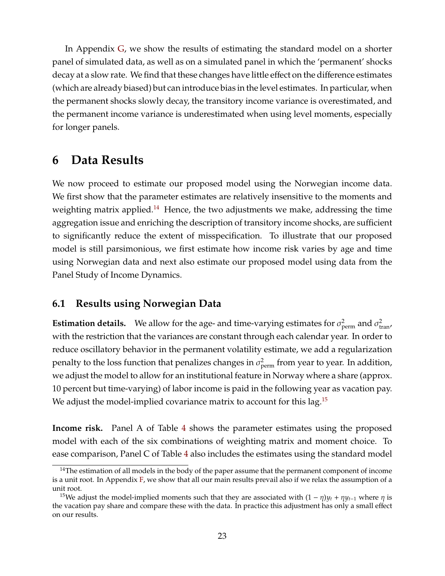In Appendix [G,](#page-44-0) we show the results of estimating the standard model on a shorter panel of simulated data, as well as on a simulated panel in which the 'permanent' shocks decay at a slow rate. We find that these changes have little effect on the difference estimates (which are already biased) but can introduce bias in the level estimates. In particular, when the permanent shocks slowly decay, the transitory income variance is overestimated, and the permanent income variance is underestimated when using level moments, especially for longer panels.

### <span id="page-23-0"></span>**6 Data Results**

We now proceed to estimate our proposed model using the Norwegian income data. We first show that the parameter estimates are relatively insensitive to the moments and weighting matrix applied.<sup>[14](#page-23-1)</sup> Hence, the two adjustments we make, addressing the time aggregation issue and enriching the description of transitory income shocks, are sufficient to significantly reduce the extent of misspecification. To illustrate that our proposed model is still parsimonious, we first estimate how income risk varies by age and time using Norwegian data and next also estimate our proposed model using data from the Panel Study of Income Dynamics.

### **6.1 Results using Norwegian Data**

**Estimation details.** We allow for the age- and time-varying estimates for  $\sigma_{\text{perm}}^2$  and  $\sigma_{\text{tran}}^2$ , with the restriction that the variances are constant through each calendar year. In order to reduce oscillatory behavior in the permanent volatility estimate, we add a regularization penalty to the loss function that penalizes changes in  $\sigma_\text{perm}^2$  from year to year. In addition, we adjust the model to allow for an institutional feature in Norway where a share (approx. 10 percent but time-varying) of labor income is paid in the following year as vacation pay. We adjust the model-implied covariance matrix to account for this lag.<sup>[15](#page-23-2)</sup>

**Income risk.** Panel A of Table [4](#page-24-0) shows the parameter estimates using the proposed model with each of the six combinations of weighting matrix and moment choice. To ease comparison, Panel C of Table [4](#page-24-0) also includes the estimates using the standard model

<span id="page-23-1"></span> $14$ The estimation of all models in the body of the paper assume that the permanent component of income is a unit root. In Appendix  $F$ , we show that all our main results prevail also if we relax the assumption of a unit root.

<span id="page-23-2"></span><sup>&</sup>lt;sup>15</sup>We adjust the model-implied moments such that they are associated with  $(1 - \eta)y_t + \eta y_{t-1}$  where  $\eta$  is the vacation pay share and compare these with the data. In practice this adjustment has only a small effect on our results.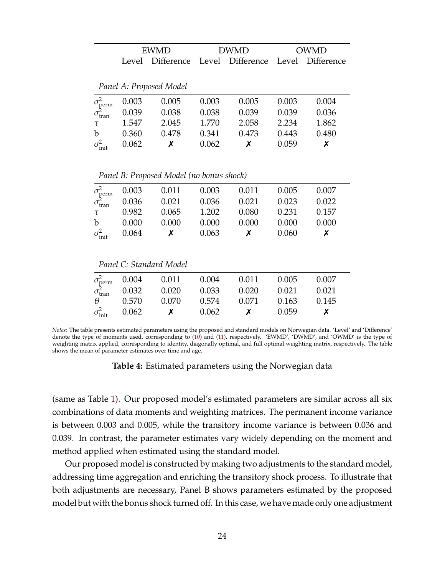<span id="page-24-0"></span>

|                                                      | <b>EWMD</b>                                |                         |       | <b>DWMD</b> | OWMD  |                   |
|------------------------------------------------------|--------------------------------------------|-------------------------|-------|-------------|-------|-------------------|
|                                                      | Difference Level Difference Level<br>Level |                         |       |             |       | <b>Difference</b> |
|                                                      |                                            | Panel A: Proposed Model |       |             |       |                   |
|                                                      |                                            |                         |       |             |       |                   |
|                                                      | 0.003                                      | 0.005                   | 0.003 | 0.005       | 0.003 | 0.004             |
| $\sigma_{\text{perm}}^2$<br>$\sigma_{\text{tran}}^2$ | 0.039                                      | 0.038                   | 0.038 | 0.039       | 0.039 | 0.036             |
| τ                                                    | 1.547                                      | 2.045                   | 1.770 | 2.058       | 2.234 | 1.862             |
| $\mathbf b$                                          | 0.360                                      | 0.478                   | 0.341 | 0.473       | 0.443 | 0.480             |
| $\sigma^2_{\rm init}$                                | 0.062                                      | Х                       | 0.062 | Х           | 0.059 | Х                 |

*Panel B: Proposed Model (no bonus shock)*

|              |                                |                                                                                                      |       |                  | 0.005 | 0.007   |
|--------------|--------------------------------|------------------------------------------------------------------------------------------------------|-------|------------------|-------|---------|
|              |                                | $\sigma_{\text{perm}}^2$ 0.003 0.011 0.003 0.011<br>$\sigma_{\text{tran}}^2$ 0.036 0.021 0.036 0.021 |       |                  | 0.023 | 0.022   |
|              | $\tau = 0.982$                 | $0.065$ 1.202                                                                                        |       | 0.080 0.231      |       | 0.157   |
| $\mathbf{b}$ | 0.000                          | 0.000                                                                                                | 0.000 | 0.000            | 0.000 | - 0.000 |
|              | $\sigma_{\text{init}}^2$ 0.064 | $\boldsymbol{\mathsf{X}}$                                                                            | 0.063 | $\boldsymbol{X}$ | 0.060 |         |

*Panel C: Standard Model*

|                          |                                                                                                             | 0.011 | 0.004 | 0.011 | 0.005 | 0.00Z |
|--------------------------|-------------------------------------------------------------------------------------------------------------|-------|-------|-------|-------|-------|
|                          | $\begin{array}{cc}\n\sigma_{\text{perm}}^2 & 0.004 \\ \sigma_{\text{tran}}^2 & 0.032\n\end{array}$<br>0.032 | 0.020 | 0.033 | 0.020 | 0.021 | 0.021 |
| $\theta$                 | 0.570                                                                                                       | 0.070 | 0.574 | 0.071 | 0.163 | 0.145 |
| $\sigma_{\text{init}}^2$ | 0.062                                                                                                       |       | 0.062 |       | 0.059 |       |

*Notes:* The table presents estimated parameters using the proposed and standard models on Norwegian data. 'Level' and 'Difference' denote the type of moments used, corresponding to [\(10\)](#page-9-1) and [\(11\)](#page-9-2), respectively. 'EWMD', 'DWMD', and 'OWMD' is the type of weighting matrix applied, corresponding to identity, diagonally optimal, and full optimal weighting matrix, respectively. The table shows the mean of parameter estimates over time and age.

**Table 4:** Estimated parameters using the Norwegian data

(same as Table [1\)](#page-10-0). Our proposed model's estimated parameters are similar across all six combinations of data moments and weighting matrices. The permanent income variance is between 0.003 and 0.005, while the transitory income variance is between 0.036 and 0.039. In contrast, the parameter estimates vary widely depending on the moment and method applied when estimated using the standard model.

Our proposed model is constructed by making two adjustments to the standard model, addressing time aggregation and enriching the transitory shock process. To illustrate that both adjustments are necessary, Panel B shows parameters estimated by the proposed model but with the bonus shock turned off. In this case, we have made only one adjustment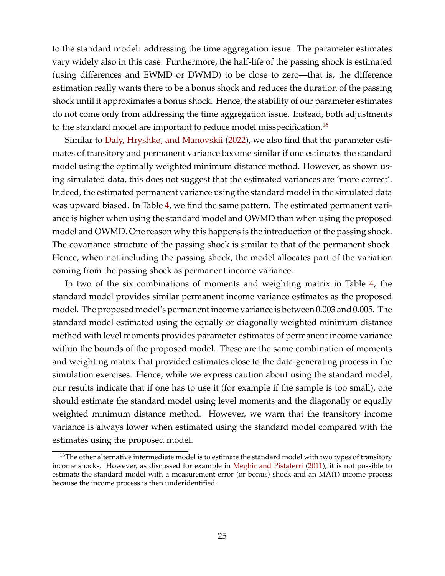to the standard model: addressing the time aggregation issue. The parameter estimates vary widely also in this case. Furthermore, the half-life of the passing shock is estimated (using differences and EWMD or DWMD) to be close to zero—that is, the difference estimation really wants there to be a bonus shock and reduces the duration of the passing shock until it approximates a bonus shock. Hence, the stability of our parameter estimates do not come only from addressing the time aggregation issue. Instead, both adjustments to the standard model are important to reduce model misspecification.<sup>[16](#page-25-0)</sup>

Similar to [Daly, Hryshko, and Manovskii](#page-31-0) [\(2022\)](#page-31-0), we also find that the parameter estimates of transitory and permanent variance become similar if one estimates the standard model using the optimally weighted minimum distance method. However, as shown using simulated data, this does not suggest that the estimated variances are 'more correct'. Indeed, the estimated permanent variance using the standard model in the simulated data was upward biased. In Table [4,](#page-24-0) we find the same pattern. The estimated permanent variance is higher when using the standard model and OWMD than when using the proposed model and OWMD. One reason why this happens is the introduction of the passing shock. The covariance structure of the passing shock is similar to that of the permanent shock. Hence, when not including the passing shock, the model allocates part of the variation coming from the passing shock as permanent income variance.

In two of the six combinations of moments and weighting matrix in Table [4,](#page-24-0) the standard model provides similar permanent income variance estimates as the proposed model. The proposed model's permanent income variance is between 0.003 and 0.005. The standard model estimated using the equally or diagonally weighted minimum distance method with level moments provides parameter estimates of permanent income variance within the bounds of the proposed model. These are the same combination of moments and weighting matrix that provided estimates close to the data-generating process in the simulation exercises. Hence, while we express caution about using the standard model, our results indicate that if one has to use it (for example if the sample is too small), one should estimate the standard model using level moments and the diagonally or equally weighted minimum distance method. However, we warn that the transitory income variance is always lower when estimated using the standard model compared with the estimates using the proposed model.

<span id="page-25-0"></span><sup>&</sup>lt;sup>16</sup>The other alternative intermediate model is to estimate the standard model with two types of transitory income shocks. However, as discussed for example in [Meghir and Pistaferri](#page-32-15) [\(2011\)](#page-32-15), it is not possible to estimate the standard model with a measurement error (or bonus) shock and an MA(1) income process because the income process is then underidentified.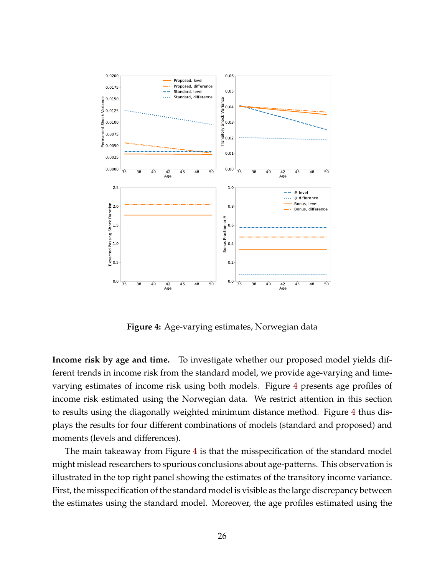<span id="page-26-0"></span>

**Figure 4:** Age-varying estimates, Norwegian data

**Income risk by age and time.** To investigate whether our proposed model yields different trends in income risk from the standard model, we provide age-varying and timevarying estimates of income risk using both models. Figure [4](#page-26-0) presents age profiles of income risk estimated using the Norwegian data. We restrict attention in this section to results using the diagonally weighted minimum distance method. Figure [4](#page-26-0) thus displays the results for four different combinations of models (standard and proposed) and moments (levels and differences).

The main takeaway from Figure [4](#page-26-0) is that the misspecification of the standard model might mislead researchers to spurious conclusions about age-patterns. This observation is illustrated in the top right panel showing the estimates of the transitory income variance. First, the misspecification of the standard model is visible as the large discrepancy between the estimates using the standard model. Moreover, the age profiles estimated using the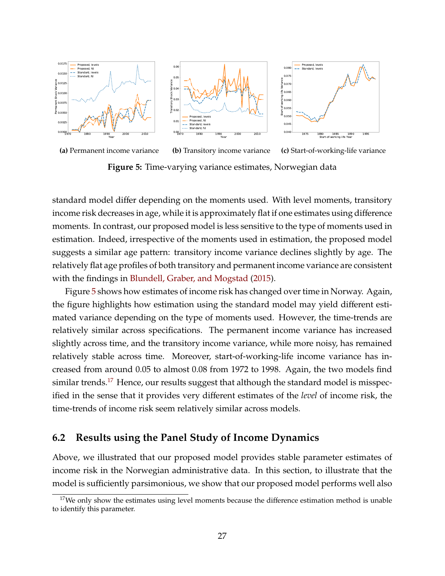<span id="page-27-0"></span>

**Figure 5:** Time-varying variance estimates, Norwegian data

standard model differ depending on the moments used. With level moments, transitory income risk decreases in age, while it is approximately flat if one estimates using difference moments. In contrast, our proposed model is less sensitive to the type of moments used in estimation. Indeed, irrespective of the moments used in estimation, the proposed model suggests a similar age pattern: transitory income variance declines slightly by age. The relatively flat age profiles of both transitory and permanent income variance are consistent with the findings in [Blundell, Graber, and Mogstad](#page-31-14) [\(2015\)](#page-31-14).

Figure [5](#page-27-0) shows how estimates of income risk has changed over time in Norway. Again, the figure highlights how estimation using the standard model may yield different estimated variance depending on the type of moments used. However, the time-trends are relatively similar across specifications. The permanent income variance has increased slightly across time, and the transitory income variance, while more noisy, has remained relatively stable across time. Moreover, start-of-working-life income variance has increased from around 0.05 to almost 0.08 from 1972 to 1998. Again, the two models find similar trends.<sup>[17](#page-27-1)</sup> Hence, our results suggest that although the standard model is misspecified in the sense that it provides very different estimates of the *level* of income risk, the time-trends of income risk seem relatively similar across models.

#### **6.2 Results using the Panel Study of Income Dynamics**

Above, we illustrated that our proposed model provides stable parameter estimates of income risk in the Norwegian administrative data. In this section, to illustrate that the model is sufficiently parsimonious, we show that our proposed model performs well also

<span id="page-27-1"></span> $17$ We only show the estimates using level moments because the difference estimation method is unable to identify this parameter.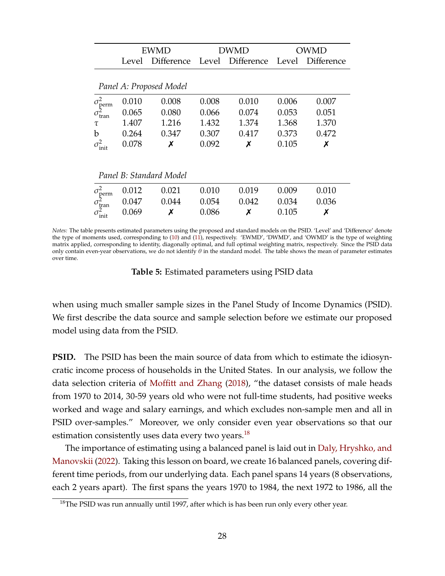<span id="page-28-1"></span>

|                                                      |                            | EWMD                    |       | <b>DWMD</b>       | OWMD  |            |  |  |  |
|------------------------------------------------------|----------------------------|-------------------------|-------|-------------------|-------|------------|--|--|--|
|                                                      | <b>Difference</b><br>Level |                         | Level | <b>Difference</b> | Level | Difference |  |  |  |
|                                                      |                            |                         |       |                   |       |            |  |  |  |
|                                                      |                            | Panel A: Proposed Model |       |                   |       |            |  |  |  |
|                                                      | 0.010                      | 0.008                   | 0.008 | 0.010             | 0.006 | 0.007      |  |  |  |
| $\sigma_{\text{perm}}^2$<br>$\sigma_{\text{tran}}^2$ | 0.065                      | 0.080                   | 0.066 | 0.074             | 0.053 | 0.051      |  |  |  |
| τ                                                    | 1.407                      | 1.216                   | 1.432 | 1.374             | 1.368 | 1.370      |  |  |  |
| b                                                    | 0.264                      | 0.347                   | 0.307 | 0.417             | 0.373 | 0.472      |  |  |  |
| $\sigma^2_{\rm init}$                                | 0.078                      | Х                       | 0.092 | Х                 | 0.105 | Х          |  |  |  |
|                                                      |                            |                         |       |                   |       |            |  |  |  |
|                                                      | Panel B: Standard Model    |                         |       |                   |       |            |  |  |  |
|                                                      | 0.012                      | 0.021                   | 0.010 | 0.019             | 0.009 | 0.010      |  |  |  |
| $\sigma_{\text{perm}}^2$<br>$\sigma_{\text{tran}}^2$ | 0.047                      | 0.044                   | 0.054 | 0.042             | 0.034 | 0.036      |  |  |  |
| $\tau_\mathrm{init}^2$                               | 0.069                      | Х                       | 0.086 | х                 | 0.105 | Х          |  |  |  |

*Notes:* The table presents estimated parameters using the proposed and standard models on the PSID. 'Level' and 'Difference' denote the type of moments used, corresponding to [\(10\)](#page-9-1) and [\(11\)](#page-9-2), respectively. 'EWMD', 'DWMD', and 'OWMD' is the type of weighting matrix applied, corresponding to identity, diagonally optimal, and full optimal weighting matrix, respectively. Since the PSID data only contain even-year observations, we do not identify  $\theta$  in the standard model. The table shows the mean of parameter estimates over time.

**Table 5:** Estimated parameters using PSID data

when using much smaller sample sizes in the Panel Study of Income Dynamics (PSID). We first describe the data source and sample selection before we estimate our proposed model using data from the PSID.

**PSID.** The PSID has been the main source of data from which to estimate the idiosyncratic income process of households in the United States. In our analysis, we follow the data selection criteria of Moffi[tt and Zhang](#page-32-0) [\(2018\)](#page-32-0), "the dataset consists of male heads from 1970 to 2014, 30-59 years old who were not full-time students, had positive weeks worked and wage and salary earnings, and which excludes non-sample men and all in PSID over-samples." Moreover, we only consider even year observations so that our estimation consistently uses data every two years.<sup>[18](#page-28-0)</sup>

The importance of estimating using a balanced panel is laid out in [Daly, Hryshko, and](#page-31-0) [Manovskii](#page-31-0) [\(2022\)](#page-31-0). Taking this lesson on board, we create 16 balanced panels, covering different time periods, from our underlying data. Each panel spans 14 years (8 observations, each 2 years apart). The first spans the years 1970 to 1984, the next 1972 to 1986, all the

<span id="page-28-0"></span><sup>&</sup>lt;sup>18</sup>The PSID was run annually until 1997, after which is has been run only every other year.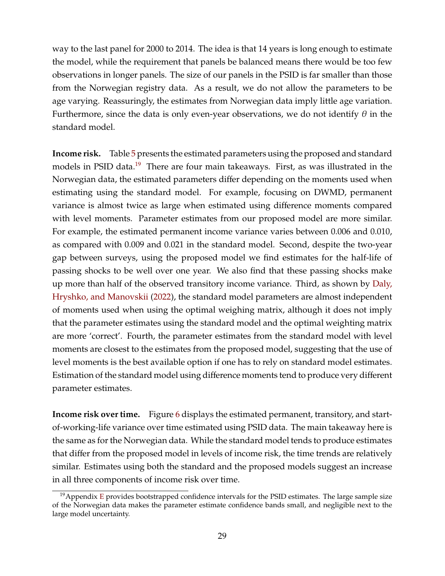way to the last panel for 2000 to 2014. The idea is that 14 years is long enough to estimate the model, while the requirement that panels be balanced means there would be too few observations in longer panels. The size of our panels in the PSID is far smaller than those from the Norwegian registry data. As a result, we do not allow the parameters to be age varying. Reassuringly, the estimates from Norwegian data imply little age variation. Furthermore, since the data is only even-year observations, we do not identify  $\theta$  in the standard model.

**Income risk.** Table [5](#page-28-1) presents the estimated parameters using the proposed and standard models in PSID data.<sup>[19](#page-29-0)</sup> There are four main takeaways. First, as was illustrated in the Norwegian data, the estimated parameters differ depending on the moments used when estimating using the standard model. For example, focusing on DWMD, permanent variance is almost twice as large when estimated using difference moments compared with level moments. Parameter estimates from our proposed model are more similar. For example, the estimated permanent income variance varies between 0.006 and 0.010, as compared with 0.009 and 0.021 in the standard model. Second, despite the two-year gap between surveys, using the proposed model we find estimates for the half-life of passing shocks to be well over one year. We also find that these passing shocks make up more than half of the observed transitory income variance. Third, as shown by [Daly,](#page-31-0) [Hryshko, and Manovskii](#page-31-0) [\(2022\)](#page-31-0), the standard model parameters are almost independent of moments used when using the optimal weighing matrix, although it does not imply that the parameter estimates using the standard model and the optimal weighting matrix are more 'correct'. Fourth, the parameter estimates from the standard model with level moments are closest to the estimates from the proposed model, suggesting that the use of level moments is the best available option if one has to rely on standard model estimates. Estimation of the standard model using difference moments tend to produce very different parameter estimates.

**Income risk over time.** Figure [6](#page-30-1) displays the estimated permanent, transitory, and startof-working-life variance over time estimated using PSID data. The main takeaway here is the same as for the Norwegian data. While the standard model tends to produce estimates that differ from the proposed model in levels of income risk, the time trends are relatively similar. Estimates using both the standard and the proposed models suggest an increase in all three components of income risk over time.

<span id="page-29-0"></span> $19$ Appendix [E](#page-41-0) provides bootstrapped confidence intervals for the PSID estimates. The large sample size of the Norwegian data makes the parameter estimate confidence bands small, and negligible next to the large model uncertainty.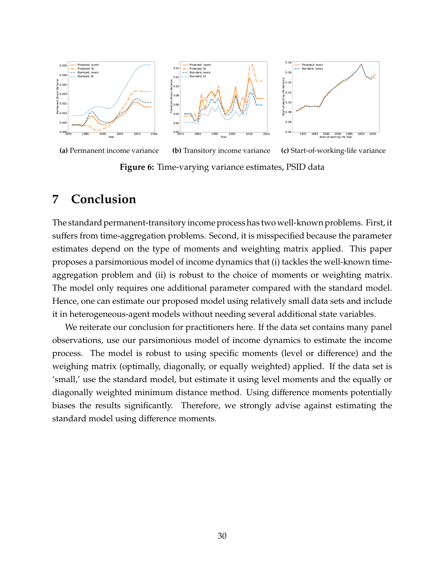<span id="page-30-1"></span>

### <span id="page-30-0"></span>**7 Conclusion**

The standard permanent-transitory income process has two well-known problems. First, it suffers from time-aggregation problems. Second, it is misspecified because the parameter estimates depend on the type of moments and weighting matrix applied. This paper proposes a parsimonious model of income dynamics that (i) tackles the well-known timeaggregation problem and (ii) is robust to the choice of moments or weighting matrix. The model only requires one additional parameter compared with the standard model. Hence, one can estimate our proposed model using relatively small data sets and include it in heterogeneous-agent models without needing several additional state variables.

We reiterate our conclusion for practitioners here. If the data set contains many panel observations, use our parsimonious model of income dynamics to estimate the income process. The model is robust to using specific moments (level or difference) and the weighing matrix (optimally, diagonally, or equally weighted) applied. If the data set is 'small,' use the standard model, but estimate it using level moments and the equally or diagonally weighted minimum distance method. Using difference moments potentially biases the results significantly. Therefore, we strongly advise against estimating the standard model using difference moments.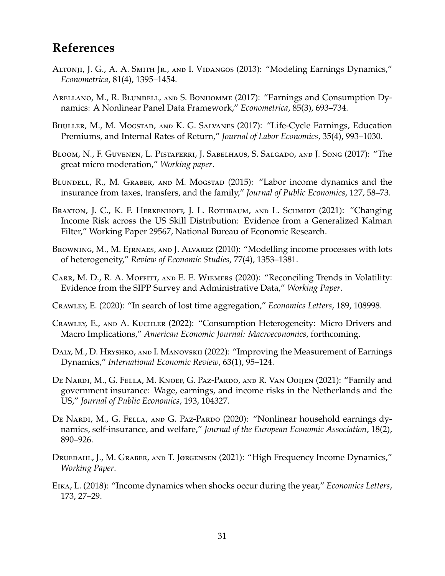## **References**

- <span id="page-31-9"></span>Altronji, J. G., A. A. Smith Jr., and I. Vidangos (2013): "Modeling Earnings Dynamics," *Econometrica*, 81(4), 1395–1454.
- <span id="page-31-4"></span>Arellano, M., R. Blundell, and S. Bonhomme (2017): "Earnings and Consumption Dynamics: A Nonlinear Panel Data Framework," *Econometrica*, 85(3), 693–734.
- <span id="page-31-13"></span>BHULLER, M., M. MOGSTAD, AND K. G. SALVANES (2017): "Life-Cycle Earnings, Education Premiums, and Internal Rates of Return," *Journal of Labor Economics*, 35(4), 993–1030.
- <span id="page-31-1"></span>Bloom, N., F. Guvenen, L. Pistaferri, J. Sabelhaus, S. Salgado, and J. Song (2017): "The great micro moderation," *Working paper*.
- <span id="page-31-14"></span>BLUNDELL, R., M. GRABER, AND M. MOGSTAD (2015): "Labor income dynamics and the insurance from taxes, transfers, and the family," *Journal of Public Economics*, 127, 58–73.
- <span id="page-31-11"></span>BRAXTON, J. C., K. F. HERKENHOFF, J. L. ROTHBAUM, AND L. SCHMIDT (2021): "Changing Income Risk across the US Skill Distribution: Evidence from a Generalized Kalman Filter," Working Paper 29567, National Bureau of Economic Research.
- <span id="page-31-8"></span>Browning, M., M. Ejrnaes, and J. Alvarez (2010): "Modelling income processes with lots of heterogeneity," *Review of Economic Studies*, 77(4), 1353–1381.
- <span id="page-31-2"></span>Carr, M. D., R. A. Moffitt, and E. E. Wiemers (2020): "Reconciling Trends in Volatility: Evidence from the SIPP Survey and Administrative Data," *Working Paper*.
- <span id="page-31-6"></span>Crawley, E. (2020): "In search of lost time aggregation," *Economics Letters*, 189, 108998.
- <span id="page-31-7"></span>Crawley, E., and A. Kuchler (2022): "Consumption Heterogeneity: Micro Drivers and Macro Implications," *American Economic Journal: Macroeconomics*, forthcoming.
- <span id="page-31-0"></span>Daly, M., D. Hryshko, and I. Manovskii (2022): "Improving the Measurement of Earnings Dynamics," *International Economic Review*, 63(1), 95–124.
- <span id="page-31-12"></span>De Nardi, M., G. Fella, M. Knoef, G. Paz-Pardo, and R. Van Ooijen (2021): "Family and government insurance: Wage, earnings, and income risks in the Netherlands and the US," *Journal of Public Economics*, 193, 104327.
- <span id="page-31-10"></span>DE NARDI, M., G. FELLA, AND G. PAZ-PARDO (2020): "Nonlinear household earnings dynamics, self-insurance, and welfare," *Journal of the European Economic Association*, 18(2), 890–926.
- <span id="page-31-3"></span>Druedahl, J., M. Graber, and T. Jørgensen (2021): "High Frequency Income Dynamics," *Working Paper*.
- <span id="page-31-5"></span>Eika, L. (2018): "Income dynamics when shocks occur during the year," *Economics Letters*, 173, 27–29.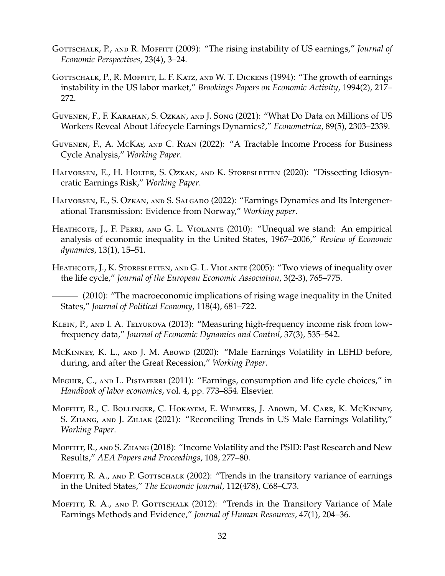- <span id="page-32-6"></span>GOTTSCHALK, P., AND R. MOFFITT (2009): "The rising instability of US earnings," *Journal of Economic Perspectives*, 23(4), 3–24.
- <span id="page-32-4"></span>GOTTSCHALK, P., R. MOFFITT, L. F. KATZ, AND W. T. DICKENS (1994): "The growth of earnings instability in the US labor market," *Brookings Papers on Economic Activity*, 1994(2), 217– 272.
- <span id="page-32-3"></span>Guvenen, F., F. Karahan, S. Ozkan, and J. Song (2021): "What Do Data on Millions of US Workers Reveal About Lifecycle Earnings Dynamics?," *Econometrica*, 89(5), 2303–2339.
- <span id="page-32-11"></span>Guvenen, F., A. McKay, and C. Ryan (2022): "A Tractable Income Process for Business Cycle Analysis," *Working Paper*.
- <span id="page-32-13"></span>HALVORSEN, E., H. HOLTER, S. OZKAN, AND K. STORESLETTEN (2020): "Dissecting Idiosyncratic Earnings Risk," *Working Paper*.
- <span id="page-32-14"></span>HALVORSEN, E., S. OZKAN, AND S. SALGADO (2022): "Earnings Dynamics and Its Intergenerational Transmission: Evidence from Norway," *Working paper*.
- <span id="page-32-1"></span>HEATHCOTE, J., F. PERRI, AND G. L. VIOLANTE (2010): "Unequal we stand: An empirical analysis of economic inequality in the United States, 1967–2006," *Review of Economic dynamics*, 13(1), 15–51.
- <span id="page-32-2"></span>HEATHCOTE, J., K. STORESLETTEN, AND G. L. VIOLANTE (2005): "Two views of inequality over the life cycle," *Journal of the European Economic Association*, 3(2-3), 765–775.

- <span id="page-32-12"></span>KLEIN, P., AND I. A. TELYUKOVA (2013): "Measuring high-frequency income risk from lowfrequency data," *Journal of Economic Dynamics and Control*, 37(3), 535–542.
- <span id="page-32-10"></span>McKINNEY, K. L., AND J. M. Abowd (2020): "Male Earnings Volatility in LEHD before, during, and after the Great Recession," *Working Paper*.
- <span id="page-32-15"></span>Meghir, C., and L. Pistaferri (2011): "Earnings, consumption and life cycle choices," in *Handbook of labor economics*, vol. 4, pp. 773–854. Elsevier.
- <span id="page-32-9"></span>Moffitt, R., C. Bollinger, C. Hokayem, E. Wiemers, J. Abowd, M. Carr, K. McKinney, S. ZHANG, AND J. ZILIAK (2021): "Reconciling Trends in US Male Earnings Volatility," *Working Paper*.
- <span id="page-32-0"></span>Moffitt, R., and S. Zhang (2018): "Income Volatility and the PSID: Past Research and New Results," *AEA Papers and Proceedings*, 108, 277–80.
- <span id="page-32-5"></span>MOFFITT, R. A., AND P. GOTTSCHALK (2002): "Trends in the transitory variance of earnings in the United States," *The Economic Journal*, 112(478), C68–C73.
- <span id="page-32-8"></span>MOFFITT, R. A., AND P. GOTTSCHALK (2012): "Trends in the Transitory Variance of Male Earnings Methods and Evidence," *Journal of Human Resources*, 47(1), 204–36.

<span id="page-32-7"></span><sup>(2010): &</sup>quot;The macroeconomic implications of rising wage inequality in the United States," *Journal of Political Economy*, 118(4), 681–722.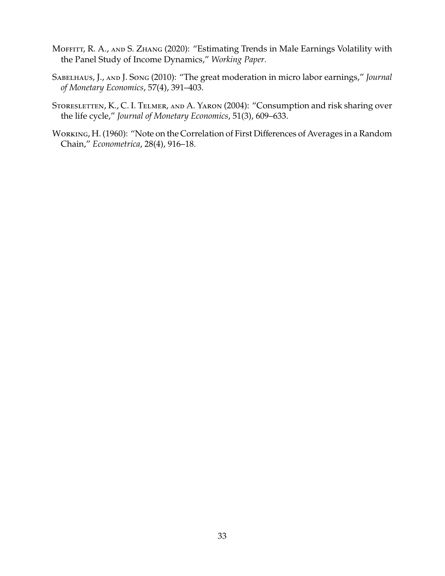- <span id="page-33-3"></span>MOFFITT, R. A., AND S. ZHANG (2020): "Estimating Trends in Male Earnings Volatility with the Panel Study of Income Dynamics," *Working Paper*.
- <span id="page-33-2"></span>Sabelhaus, J., and J. Song (2010): "The great moderation in micro labor earnings," *Journal of Monetary Economics*, 57(4), 391–403.
- <span id="page-33-1"></span>STORESLETTEN, K., C. I. TELMER, AND A. YARON (2004): "Consumption and risk sharing over the life cycle," *Journal of Monetary Economics*, 51(3), 609–633.
- <span id="page-33-0"></span>Working, H. (1960): "Note on the Correlation of First Differences of Averages in a Random Chain," *Econometrica*, 28(4), 916–18.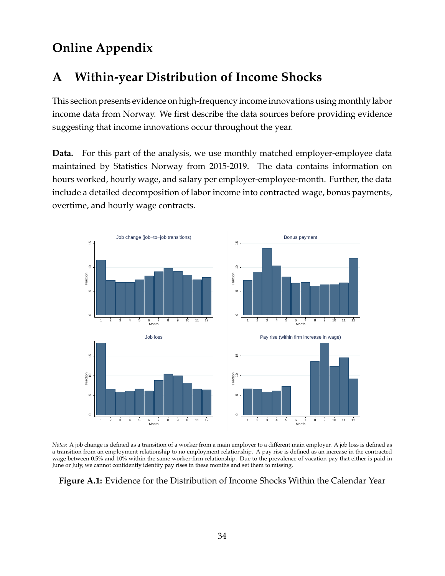# **Online Appendix**

# <span id="page-34-0"></span>**A Within-year Distribution of Income Shocks**

This section presents evidence on high-frequency income innovations using monthly labor income data from Norway. We first describe the data sources before providing evidence suggesting that income innovations occur throughout the year.

**Data.** For this part of the analysis, we use monthly matched employer-employee data maintained by Statistics Norway from 2015-2019. The data contains information on hours worked, hourly wage, and salary per employer-employee-month. Further, the data include a detailed decomposition of labor income into contracted wage, bonus payments, overtime, and hourly wage contracts.

<span id="page-34-1"></span>

*Notes:* A job change is defined as a transition of a worker from a main employer to a different main employer. A job loss is defined as a transition from an employment relationship to no employment relationship. A pay rise is defined as an increase in the contracted wage between 0.5% and 10% within the same worker-firm relationship. Due to the prevalence of vacation pay that either is paid in June or July, we cannot confidently identify pay rises in these months and set them to missing.

#### **Figure A.1:** Evidence for the Distribution of Income Shocks Within the Calendar Year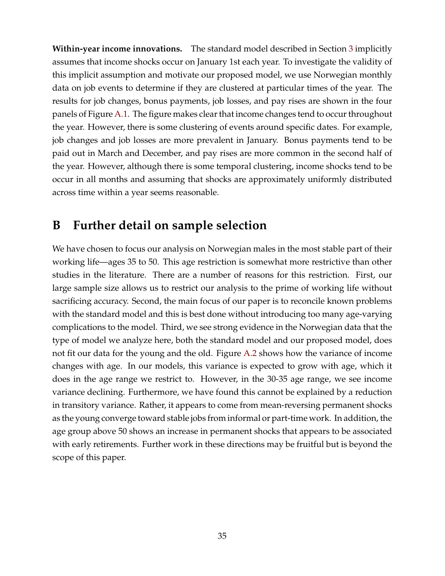**Within-year income innovations.** The standard model described in Section [3](#page-7-0) implicitly assumes that income shocks occur on January 1st each year. To investigate the validity of this implicit assumption and motivate our proposed model, we use Norwegian monthly data on job events to determine if they are clustered at particular times of the year. The results for job changes, bonus payments, job losses, and pay rises are shown in the four panels of Figure [A.1.](#page-34-1) The figure makes clear that income changes tend to occur throughout the year. However, there is some clustering of events around specific dates. For example, job changes and job losses are more prevalent in January. Bonus payments tend to be paid out in March and December, and pay rises are more common in the second half of the year. However, although there is some temporal clustering, income shocks tend to be occur in all months and assuming that shocks are approximately uniformly distributed across time within a year seems reasonable.

### <span id="page-35-0"></span>**B Further detail on sample selection**

We have chosen to focus our analysis on Norwegian males in the most stable part of their working life—ages 35 to 50. This age restriction is somewhat more restrictive than other studies in the literature. There are a number of reasons for this restriction. First, our large sample size allows us to restrict our analysis to the prime of working life without sacrificing accuracy. Second, the main focus of our paper is to reconcile known problems with the standard model and this is best done without introducing too many age-varying complications to the model. Third, we see strong evidence in the Norwegian data that the type of model we analyze here, both the standard model and our proposed model, does not fit our data for the young and the old. Figure [A.2](#page-36-1) shows how the variance of income changes with age. In our models, this variance is expected to grow with age, which it does in the age range we restrict to. However, in the 30-35 age range, we see income variance declining. Furthermore, we have found this cannot be explained by a reduction in transitory variance. Rather, it appears to come from mean-reversing permanent shocks as the young converge toward stable jobs from informal or part-time work. In addition, the age group above 50 shows an increase in permanent shocks that appears to be associated with early retirements. Further work in these directions may be fruitful but is beyond the scope of this paper.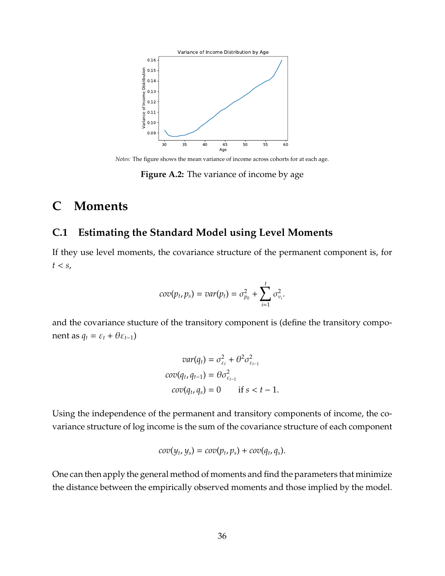<span id="page-36-1"></span>

*Notes:* The figure shows the mean variance of income across cohorts for at each age.

**Figure A.2:** The variance of income by age

## **C Moments**

#### <span id="page-36-0"></span>**C.1 Estimating the Standard Model using Level Moments**

If they use level moments, the covariance structure of the permanent component is, for  $t < s$ ,

$$
cov(p_t, p_s) = var(p_t) = \sigma_{p_0}^2 + \sum_{i=1}^t \sigma_{v_i}^2.
$$

and the covariance stucture of the transitory component is (define the transitory component as  $q_t = \varepsilon_t + \theta \varepsilon_{t-1}$ )

$$
var(q_t) = \sigma_{\varepsilon_t}^2 + \theta^2 \sigma_{\varepsilon_{t-1}}^2
$$

$$
cov(q_t, q_{t-1}) = \theta \sigma_{\varepsilon_{t-1}}^2
$$

$$
cov(q_t, q_s) = 0 \quad \text{if } s < t - 1.
$$

Using the independence of the permanent and transitory components of income, the covariance structure of log income is the sum of the covariance structure of each component

$$
cov(y_t, y_s) = cov(p_t, p_s) + cov(q_t, q_s).
$$

One can then apply the general method of moments and find the parameters that minimize the distance between the empirically observed moments and those implied by the model.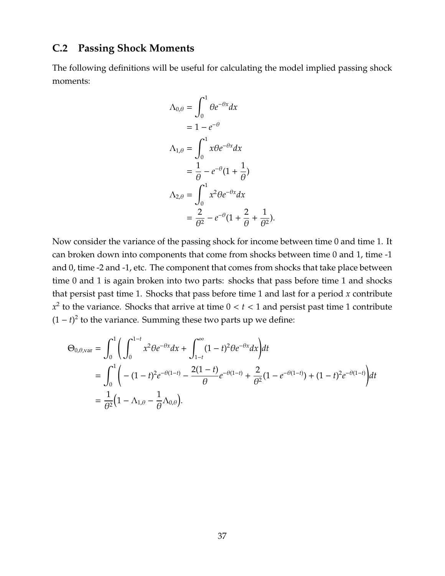### <span id="page-37-0"></span>**C.2 Passing Shock Moments**

The following definitions will be useful for calculating the model implied passing shock moments:

$$
\begin{aligned}\n\Lambda_{0,\theta} &= \int_0^1 \theta e^{-\theta x} dx \\
&= 1 - e^{-\theta} \\
\Lambda_{1,\theta} &= \int_0^1 x \theta e^{-\theta x} dx \\
&= \frac{1}{\theta} - e^{-\theta} (1 + \frac{1}{\theta}) \\
\Lambda_{2,\theta} &= \int_0^1 x^2 \theta e^{-\theta x} dx \\
&= \frac{2}{\theta^2} - e^{-\theta} (1 + \frac{2}{\theta} + \frac{1}{\theta^2}).\n\end{aligned}
$$

Now consider the variance of the passing shock for income between time 0 and time 1. It can broken down into components that come from shocks between time 0 and 1, time -1 and 0, time -2 and -1, etc. The component that comes from shocks that take place between time 0 and 1 is again broken into two parts: shocks that pass before time 1 and shocks that persist past time 1. Shocks that pass before time 1 and last for a period *x* contribute  $x^2$  to the variance. Shocks that arrive at time  $0 < t < 1$  and persist past time 1 contribute  $(1 - t)^2$  to the variance. Summing these two parts up we define:

$$
\Theta_{0,\theta,\text{var}} = \int_0^1 \left( \int_0^{1-t} x^2 \theta e^{-\theta x} dx + \int_{1-t}^{\infty} (1-t)^2 \theta e^{-\theta x} dx \right) dt
$$
  
= 
$$
\int_0^1 \left( -(1-t)^2 e^{-\theta(1-t)} - \frac{2(1-t)}{\theta} e^{-\theta(1-t)} + \frac{2}{\theta^2} (1 - e^{-\theta(1-t)}) + (1-t)^2 e^{-\theta(1-t)} \right) dt
$$
  
= 
$$
\frac{1}{\theta^2} (1 - \Lambda_{1,\theta} - \frac{1}{\theta} \Lambda_{0,\theta}).
$$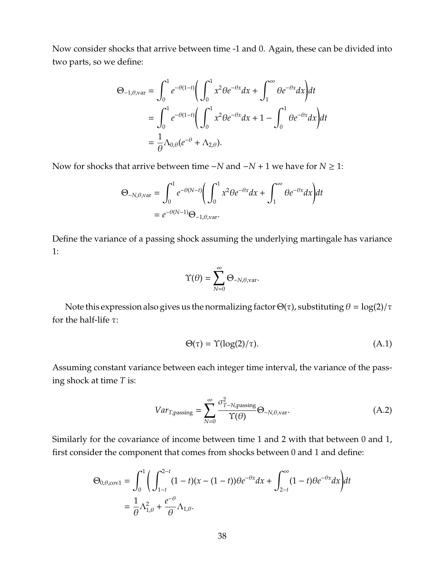Now consider shocks that arrive between time -1 and 0. Again, these can be divided into two parts, so we define:

$$
\Theta_{-1,\theta,\text{var}} = \int_0^1 e^{-\theta(1-t)} \left( \int_0^1 x^2 \theta e^{-\theta x} dx + \int_1^\infty \theta e^{-\theta x} dx \right) dt
$$
  
= 
$$
\int_0^1 e^{-\theta(1-t)} \left( \int_0^1 x^2 \theta e^{-\theta x} dx + 1 - \int_0^1 \theta e^{-\theta x} dx \right) dt
$$
  
= 
$$
\frac{1}{\theta} \Lambda_{0,\theta} (e^{-\theta} + \Lambda_{2,\theta}).
$$

Now for shocks that arrive between time −*N* and −*N* + 1 we have for *N* ≥ 1:

$$
\Theta_{-N,\theta,\text{var}} = \int_0^1 e^{-\theta(N-t)} \left( \int_0^1 x^2 \theta e^{-\theta x} dx + \int_1^\infty \theta e^{-\theta x} dx \right) dt
$$
  
=  $e^{-\theta(N-1)} \Theta_{-1,\theta,\text{var}}.$ 

Define the variance of a passing shock assuming the underlying martingale has variance 1:

$$
\Upsilon(\theta) = \sum_{N=0}^{\infty} \Theta_{-N,\theta,\text{var}}.
$$

Note this expression also gives us the normalizing factor  $\Theta(\tau)$ , substituting  $\theta = \log(2)/\tau$ for the half-life τ:

<span id="page-38-0"></span>
$$
\Theta(\tau) = \Upsilon(\log(2)/\tau). \tag{A.1}
$$

Assuming constant variance between each integer time interval, the variance of the passing shock at time *T* is:

$$
Var_{T, \text{passing}} = \sum_{N=0}^{\infty} \frac{\sigma_{T-N, \text{passing}}^2}{\Upsilon(\theta)} \Theta_{-N, \theta, \text{var}}.
$$
 (A.2)

Similarly for the covariance of income between time 1 and 2 with that between 0 and 1, first consider the component that comes from shocks between 0 and 1 and define:

$$
\Theta_{0,\theta,\text{cov1}} = \int_0^1 \left( \int_{1-t}^{2-t} (1-t)(x-(1-t))\theta e^{-\theta x} dx + \int_{2-t}^{\infty} (1-t)\theta e^{-\theta x} dx \right) dt
$$
  
=  $\frac{1}{\theta} \Lambda_{1,\theta}^2 + \frac{e^{-\theta}}{\theta} \Lambda_{1,\theta}.$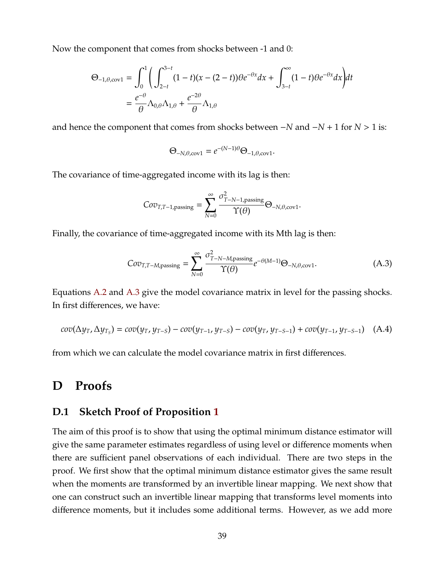Now the component that comes from shocks between -1 and 0:

$$
\Theta_{-1,\theta,\text{cov1}} = \int_0^1 \left( \int_{2-t}^{3-t} (1-t)(x-(2-t)) \theta e^{-\theta x} dx + \int_{3-t}^{\infty} (1-t) \theta e^{-\theta x} dx \right) dt
$$
  
=  $\frac{e^{-\theta}}{\theta} \Lambda_{0,\theta} \Lambda_{1,\theta} + \frac{e^{-2\theta}}{\theta} \Lambda_{1,\theta}$ 

and hence the component that comes from shocks between −*N* and −*N* + 1 for *N* > 1 is:

<span id="page-39-1"></span> $\Theta$ <sub>-*N*</sub>, $\theta$ ,cov1</sub> =  $e^{-(N-1)\theta} \Theta$ <sub>-1</sub>, $\theta$ ,cov1·

The covariance of time-aggregated income with its lag is then:

$$
Cov_{T,T-1,\text{passing}} = \sum_{N=0}^{\infty} \frac{\sigma_{T-N-1,\text{passing}}^2}{\Upsilon(\theta)} \Theta_{-N,\theta,\text{cov1}}.
$$

Finally, the covariance of time-aggregated income with its Mth lag is then:

$$
Cov_{T,T-M,\text{passing}} = \sum_{N=0}^{\infty} \frac{\sigma_{T-N-M,\text{passing}}^2}{\Upsilon(\theta)} e^{-\theta(M-1)} \Theta_{-N,\theta,\text{cov1}}.
$$
 (A.3)

Equations [A.2](#page-38-0) and [A.3](#page-39-1) give the model covariance matrix in level for the passing shocks. In first differences, we have:

$$
cov(\Delta y_T, \Delta y_{T_s}) = cov(y_T, y_{T-s}) - cov(y_{T-1}, y_{T-s}) - cov(y_T, y_{T-s-1}) + cov(y_{T-1}, y_{T-s-1})
$$
 (A.4)

from which we can calculate the model covariance matrix in first differences.

### **D Proofs**

#### <span id="page-39-0"></span>**D.1 Sketch Proof of Proposition [1](#page-21-2)**

The aim of this proof is to show that using the optimal minimum distance estimator will give the same parameter estimates regardless of using level or difference moments when there are sufficient panel observations of each individual. There are two steps in the proof. We first show that the optimal minimum distance estimator gives the same result when the moments are transformed by an invertible linear mapping. We next show that one can construct such an invertible linear mapping that transforms level moments into difference moments, but it includes some additional terms. However, as we add more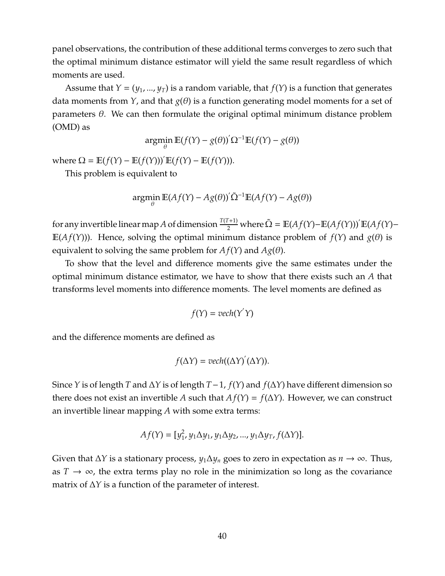panel observations, the contribution of these additional terms converges to zero such that the optimal minimum distance estimator will yield the same result regardless of which moments are used.

Assume that  $Y = (y_1, ..., y_T)$  is a random variable, that  $f(Y)$  is a function that generates data moments from *Y*, and that  $g(\theta)$  is a function generating model moments for a set of parameters  $θ$ . We can then formulate the original optimal minimum distance problem (OMD) as

$$
\operatorname*{argmin}_{\theta} \mathbb{E}(f(Y) - g(\theta))' \Omega^{-1} \mathbb{E}(f(Y) - g(\theta))
$$

where  $\Omega = \mathbb{E}(f(Y) - \mathbb{E}(f(Y)))' \mathbb{E}(f(Y) - \mathbb{E}(f(Y))).$ 

This problem is equivalent to

$$
\mathop{\rm argmin}_\theta \mathbb{E}(Af(Y) - Ag(\theta)) \tilde{\Omega}^{-1} \mathbb{E}(Af(Y) - Ag(\theta))
$$

for any invertible linear map *A* of dimension  $\frac{T(T+1)}{2}$  where  $\tilde{\Omega} = \mathbb{E}(Af(Y) - \mathbb{E}(Af(Y)))' \mathbb{E}(Af(Y) -$ E( $Af(Y)$ )). Hence, solving the optimal minimum distance problem of  $f(Y)$  and  $g(\theta)$  is equivalent to solving the same problem for  $Af(Y)$  and  $Ag(\theta)$ .

To show that the level and difference moments give the same estimates under the optimal minimum distance estimator, we have to show that there exists such an *A* that transforms level moments into difference moments. The level moments are defined as

$$
f(Y) = vech(Y'Y)
$$

and the difference moments are defined as

$$
f(\Delta Y) = vech((\Delta Y)^{'}(\Delta Y)).
$$

Since *Y* is of length *T* and ∆*Y* is of length *T*−1, *f*(*Y*) and *f*(∆*Y*) have different dimension so there does not exist an invertible *A* such that  $A f(Y) = f(\Delta Y)$ . However, we can construct an invertible linear mapping *A* with some extra terms:

$$
Af(Y) = [y_1^2, y_1 \Delta y_1, y_1 \Delta y_2, ..., y_1 \Delta y_T, f(\Delta Y)].
$$

Given that ∆*Y* is a stationary process, *y*1∆*y<sup>n</sup>* goes to zero in expectation as *n* → ∞. Thus, as  $T \to \infty$ , the extra terms play no role in the minimization so long as the covariance matrix of ∆*Y* is a function of the parameter of interest.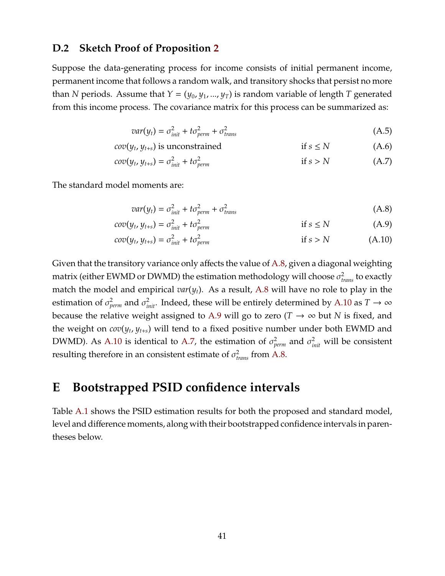#### **D.2 Sketch Proof of Proposition [2](#page-22-1)**

Suppose the data-generating process for income consists of initial permanent income, permanent income that follows a random walk, and transitory shocks that persist no more than *N* periods. Assume that  $Y = (y_0, y_1, ..., y_T)$  is random variable of length *T* generated from this income process. The covariance matrix for this process can be summarized as:

<span id="page-41-4"></span>
$$
var(y_t) = \sigma_{init}^2 + t\sigma_{perm}^2 + \sigma_{trans}^2
$$
\n(A.5)

$$
cov(y_t, y_{t+s})
$$
 is unconstrained if  $s \leq N$  (A.6)

$$
cov(y_t, y_{t+s}) = \sigma_{init}^2 + t\sigma_{perm}^2 \qquad \qquad \text{if } s > N \tag{A.7}
$$

The standard model moments are:

<span id="page-41-3"></span><span id="page-41-2"></span><span id="page-41-1"></span>
$$
var(y_t) = \sigma_{init}^2 + t\sigma_{perm}^2 + \sigma_{trans}^2 \tag{A.8}
$$

$$
cov(y_t, y_{t+s}) = \sigma_{init}^2 + t\sigma_{perm}^2 \qquad \qquad \text{if } s \le N \qquad (A.9)
$$

$$
cov(y_t, y_{t+s}) = \sigma_{init}^2 + t\sigma_{perm}^2 \qquad \qquad \text{if } s > N \tag{A.10}
$$

Given that the transitory variance only affects the value of [A.8,](#page-41-1) given a diagonal weighting matrix (either EWMD or DWMD) the estimation methodology will choose  $\sigma^2_{trans}$  to exactly match the model and empirical *var*(*yt*). As a result, [A.8](#page-41-1) will have no role to play in the estimation of  $\sigma_{perm}^2$  and  $\sigma_{init}^2$ . Indeed, these will be entirely determined by [A.10](#page-41-2) as  $T \to \infty$ because the relative weight assigned to [A.9](#page-41-3) will go to zero ( $T \to \infty$  but N is fixed, and the weight on *cov*(*y<sup>t</sup>* , *y<sup>t</sup>*+*<sup>s</sup>*) will tend to a fixed positive number under both EWMD and DWMD). As [A.10](#page-41-2) is identical to [A.7,](#page-41-4) the estimation of  $\sigma_{perm}^2$  and  $\sigma_{init}^2$  will be consistent resulting therefore in an consistent estimate of  $\sigma_{trans}^2$  from [A.8.](#page-41-1)

### <span id="page-41-0"></span>**E Bootstrapped PSID confidence intervals**

Table [A.1](#page-42-1) shows the PSID estimation results for both the proposed and standard model, level and difference moments, along with their bootstrapped confidence intervals in parentheses below.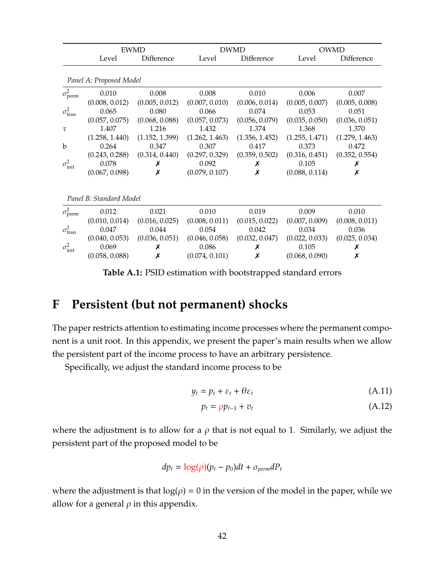<span id="page-42-1"></span>

|                          |                | <b>EWMD</b>    |                | DWMD           |                | <b>OWMD</b>    |  |  |  |
|--------------------------|----------------|----------------|----------------|----------------|----------------|----------------|--|--|--|
|                          | Level          | Difference     | Level          | Difference     | Level          | Difference     |  |  |  |
| Panel A: Proposed Model  |                |                |                |                |                |                |  |  |  |
| $\sigma_{\text{perm}}^2$ | 0.010          | 0.008          | 0.008          | 0.010          | 0.006          | 0.007          |  |  |  |
|                          | (0.008, 0.012) | (0.005, 0.012) | (0.007, 0.010) | (0.006, 0.014) | (0.005, 0.007) | (0.005, 0.008) |  |  |  |
| $\sigma_{\text{tran}}^2$ | 0.065          | 0.080          | 0.066          | 0.074          | 0.053          | 0.051          |  |  |  |
|                          | (0.057, 0.075) | (0.068, 0.088) | (0.057, 0.073) | (0.056, 0.079) | (0.035, 0.050) | (0.036, 0.051) |  |  |  |
| $\tau$                   | 1.407          | 1.216          | 1.432          | 1.374          | 1.368          | 1.370          |  |  |  |
|                          | (1.258, 1.440) | (1.152, 1.399) | (1.262, 1.463) | (1.356, 1.452) | (1.255, 1.471) | (1.279, 1.463) |  |  |  |
| b                        | 0.264          | 0.347          | 0.307          | 0.417          | 0.373          | 0.472          |  |  |  |
|                          | (0.243, 0.288) | (0.314, 0.440) | (0.297, 0.329) | (0.359, 0.502) | (0.316, 0.451) | (0.352, 0.554) |  |  |  |
| $\sigma^2_{\rm init}$    | 0.078          | Х              | 0.092          | Х              | 0.105          | Х              |  |  |  |
|                          | (0.067, 0.098) | х              | (0.079, 0.107) | Х              | (0.088, 0.114) | Х              |  |  |  |
| Panel B: Standard Model  |                |                |                |                |                |                |  |  |  |
| $\sigma_{\text{perm}}^2$ | 0.012          | 0.021          | 0.010          | 0.019          | 0.009          | 0.010          |  |  |  |
|                          | (0.010, 0.014) | (0.016, 0.025) | (0.008, 0.011) | (0.015, 0.022) | (0.007, 0.009) | (0.008, 0.011) |  |  |  |
| $\sigma_{\text{tran}}^2$ | 0.047          | 0.044          | 0.054          | 0.042          | 0.034          | 0.036          |  |  |  |
|                          | (0.040, 0.053) | (0.036, 0.051) | (0.046, 0.058) | (0.032, 0.047) | (0.022, 0.033) | (0.025, 0.034) |  |  |  |

**Table A.1:** PSID estimation with bootstrapped standard errors

init 0.069 ✗ 0.086 ✗ 0.105 ✗  $(0.058, 0.088)$   $\times$   $(0.074, 0.101)$   $\times$   $(0.068, 0.090)$   $\times$ 

## <span id="page-42-0"></span>**F Persistent (but not permanent) shocks**

 $\sigma_{\rm in}^2$ 

The paper restricts attention to estimating income processes where the permanent component is a unit root. In this appendix, we present the paper's main results when we allow the persistent part of the income process to have an arbitrary persistence.

Specifically, we adjust the standard income process to be

$$
y_t = p_t + \varepsilon_t + \theta \varepsilon_t \tag{A.11}
$$

$$
p_t = \rho p_{t-1} + v_t \tag{A.12}
$$

where the adjustment is to allow for a  $\rho$  that is not equal to 1. Similarly, we adjust the persistent part of the proposed model to be

$$
dp_t = \log(\rho)(p_t - p_0)dt + \sigma_{perm}dP_t
$$

where the adjustment is that  $log(\rho) = 0$  in the version of the model in the paper, while we allow for a general  $\rho$  in this appendix.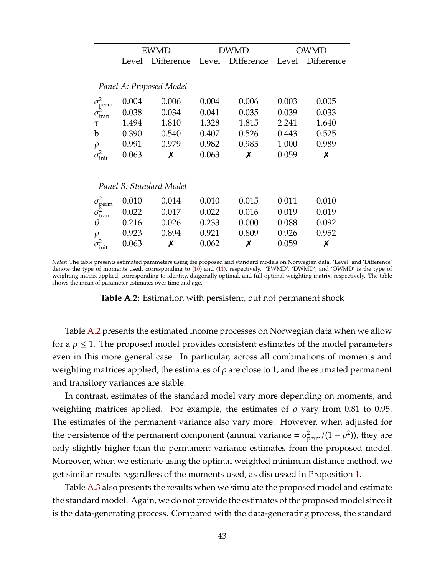<span id="page-43-0"></span>

|                                                      |       | <b>EWMD</b>             |       | DWMD       |       | OWMD              |
|------------------------------------------------------|-------|-------------------------|-------|------------|-------|-------------------|
|                                                      | Level | Difference              | Level | Difference | Level | <b>Difference</b> |
|                                                      |       |                         |       |            |       |                   |
|                                                      |       | Panel A: Proposed Model |       |            |       |                   |
|                                                      | 0.004 | 0.006                   | 0.004 | 0.006      | 0.003 | 0.005             |
| $\sigma_{\text{perm}}^2$<br>$\sigma_{\text{tran}}^2$ | 0.038 | 0.034                   | 0.041 | 0.035      | 0.039 | 0.033             |
| τ                                                    | 1.494 | 1.810                   | 1.328 | 1.815      | 2.241 | 1.640             |
| b                                                    | 0.390 | 0.540                   | 0.407 | 0.526      | 0.443 | 0.525             |
| $\rho$                                               | 0.991 | 0.979                   | 0.982 | 0.985      | 1.000 | 0.989             |
| $\sigma_{\rm init}^2$                                | 0.063 | Х                       | 0.063 | Х          | 0.059 | Х                 |
|                                                      |       |                         |       |            |       |                   |
|                                                      |       | Panel B: Standard Model |       |            |       |                   |
|                                                      | 0.010 | 0.014                   | 0.010 | 0.015      | 0.011 | 0.010             |
| $\sigma_{\text{perm}}^2$<br>$\sigma_{\text{tran}}^2$ | 0.022 | 0.017                   | 0.022 | 0.016      | 0.019 | 0.019             |
| θ                                                    | 0.216 | 0.026                   | 0.233 | 0.000      | 0.088 | 0.092             |
| $\rho$                                               | 0.923 | 0.894                   | 0.921 | 0.809      | 0.926 | 0.952             |
| $\sigma^2_{\rm init}$                                | 0.063 | Х                       | 0.062 | Х          | 0.059 | Х                 |

*Notes:* The table presents estimated parameters using the proposed and standard models on Norwegian data. 'Level' and 'Difference' denote the type of moments used, corresponding to [\(10\)](#page-9-1) and [\(11\)](#page-9-2), respectively. 'EWMD', 'DWMD', and 'OWMD' is the type of weighting matrix applied, corresponding to identity, diagonally optimal, and full optimal weighting matrix, respectively. The table shows the mean of parameter estimates over time and age.

**Table A.2:** Estimation with persistent, but not permanent shock

Table [A.2](#page-43-0) presents the estimated income processes on Norwegian data when we allow for a  $\rho \leq 1$ . The proposed model provides consistent estimates of the model parameters even in this more general case. In particular, across all combinations of moments and weighting matrices applied, the estimates of  $\rho$  are close to 1, and the estimated permanent and transitory variances are stable.

In contrast, estimates of the standard model vary more depending on moments, and weighting matrices applied. For example, the estimates of  $\rho$  vary from 0.81 to 0.95. The estimates of the permanent variance also vary more. However, when adjusted for the persistence of the permanent component (annual variance =  $\sigma_{\text{perm}}^2/(1-\rho^2)$ ), they are only slightly higher than the permanent variance estimates from the proposed model. Moreover, when we estimate using the optimal weighted minimum distance method, we get similar results regardless of the moments used, as discussed in Proposition [1.](#page-21-2)

Table [A.3](#page-44-1) also presents the results when we simulate the proposed model and estimate the standard model. Again, we do not provide the estimates of the proposed model since it is the data-generating process. Compared with the data-generating process, the standard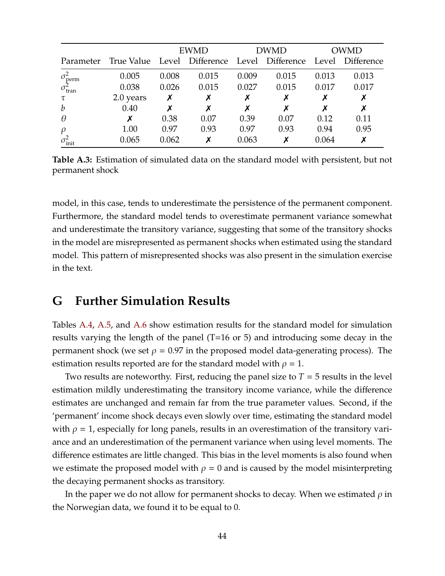<span id="page-44-1"></span>

|                          |                                              |       | <b>EWMD</b> |       | DWMD  |       | OWMD             |  |
|--------------------------|----------------------------------------------|-------|-------------|-------|-------|-------|------------------|--|
| Parameter                | True Value Level Difference Level Difference |       |             |       |       |       | Level Difference |  |
| $\sigma_{\text{perm}}^2$ | 0.005                                        | 0.008 | 0.015       | 0.009 | 0.015 | 0.013 | 0.013            |  |
| $\sigma_{\text{tran}}^2$ | 0.038                                        | 0.026 | 0.015       | 0.027 | 0.015 | 0.017 | 0.017            |  |
| τ                        | 2.0 years                                    | Х     |             |       | Х     |       | Х                |  |
| $\boldsymbol{b}$         | 0.40                                         |       | Х           |       | х     |       | X                |  |
| $\theta$                 |                                              | 0.38  | 0.07        | 0.39  | 0.07  | 0.12  | 0.11             |  |
| $\rho$                   | 1.00                                         | 0.97  | 0.93        | 0.97  | 0.93  | 0.94  | 0.95             |  |
| $\sigma_{\text{init}}^2$ | 0.065                                        | 0.062 | Х           | 0.063 | х     | 0.064 | X                |  |

**Table A.3:** Estimation of simulated data on the standard model with persistent, but not permanent shock

model, in this case, tends to underestimate the persistence of the permanent component. Furthermore, the standard model tends to overestimate permanent variance somewhat and underestimate the transitory variance, suggesting that some of the transitory shocks in the model are misrepresented as permanent shocks when estimated using the standard model. This pattern of misrepresented shocks was also present in the simulation exercise in the text.

### <span id="page-44-0"></span>**G Further Simulation Results**

Tables [A.4,](#page-45-0) [A.5,](#page-45-1) and [A.6](#page-45-2) show estimation results for the standard model for simulation results varying the length of the panel (T=16 or 5) and introducing some decay in the permanent shock (we set  $\rho = 0.97$  in the proposed model data-generating process). The estimation results reported are for the standard model with  $\rho = 1$ .

Two results are noteworthy. First, reducing the panel size to *T* = 5 results in the level estimation mildly underestimating the transitory income variance, while the difference estimates are unchanged and remain far from the true parameter values. Second, if the 'permanent' income shock decays even slowly over time, estimating the standard model with  $\rho = 1$ , especially for long panels, results in an overestimation of the transitory variance and an underestimation of the permanent variance when using level moments. The difference estimates are little changed. This bias in the level moments is also found when we estimate the proposed model with  $\rho = 0$  and is caused by the model misinterpreting the decaying permanent shocks as transitory.

In the paper we do not allow for permanent shocks to decay. When we estimated  $\rho$  in the Norwegian data, we found it to be equal to 0.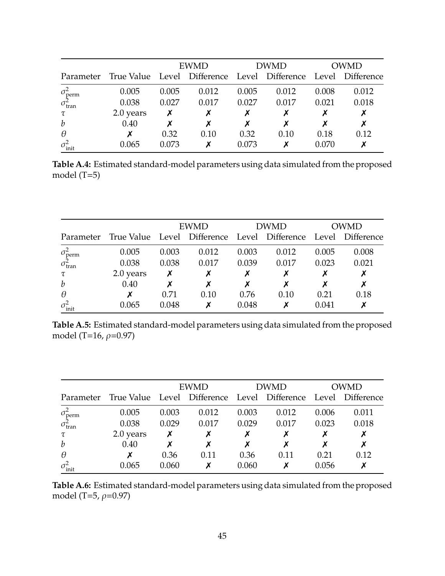<span id="page-45-0"></span>

|                          |                                                               | <b>EWMD</b> |       | <b>DWMD</b> |       | <b>OWMD</b> |       |
|--------------------------|---------------------------------------------------------------|-------------|-------|-------------|-------|-------------|-------|
| Parameter                | True Value Level Difference Level Difference Level Difference |             |       |             |       |             |       |
| $\sigma_{\text{perm}}^2$ | 0.005                                                         | 0.005       | 0.012 | 0.005       | 0.012 | 0.008       | 0.012 |
| $\sigma_{\text{tran}}^2$ | 0.038                                                         | 0.027       | 0.017 | 0.027       | 0.017 | 0.021       | 0.018 |
| τ                        | 2.0 years                                                     |             |       |             |       |             | X     |
| $\boldsymbol{b}$         | 0.40                                                          |             |       |             |       |             | Х     |
| $\theta$                 |                                                               | 0.32        | 0.10  | 0.32        | 0.10  | 0.18        | 0.12  |
| $\sigma_{\text{init}}^2$ | 0.065                                                         | 0.073       |       | 0.073       |       | 0.070       |       |

**Table A.4:** Estimated standard-model parameters using data simulated from the proposed model (T=5)

<span id="page-45-1"></span>

|                          |                                                        | <b>EWMD</b> |       | <b>DWMD</b> |       | OWMD  |                  |
|--------------------------|--------------------------------------------------------|-------------|-------|-------------|-------|-------|------------------|
|                          | Parameter True Value Level Difference Level Difference |             |       |             |       |       | Level Difference |
| $\sigma_{\text{perm}}^2$ | 0.005                                                  | 0.003       | 0.012 | 0.003       | 0.012 | 0.005 | 0.008            |
| $\sigma_{\text{tran}}^2$ | 0.038                                                  | 0.038       | 0.017 | 0.039       | 0.017 | 0.023 | 0.021            |
| $\tau$                   | 2.0 years                                              | Х           |       |             |       |       | X                |
| $\boldsymbol{b}$         | 0.40                                                   |             |       |             |       |       | X                |
| $\theta$                 |                                                        | 0.71        | 0.10  | 0.76        | 0.10  | 0.21  | 0.18             |
| $\sigma_{\text{init}}^2$ | 0.065                                                  | 0.048       |       | 0.048       |       | 0.041 |                  |

**Table A.5:** Estimated standard-model parameters using data simulated from the proposed model (T=16,  $\rho$ =0.97)

<span id="page-45-2"></span>

|                                                      |                                                                         |       | <b>EWMD</b> | <b>DWMD</b> |       | <b>OWMD</b> |       |
|------------------------------------------------------|-------------------------------------------------------------------------|-------|-------------|-------------|-------|-------------|-------|
|                                                      | Parameter True Value Level Difference Level Difference Level Difference |       |             |             |       |             |       |
|                                                      | 0.005                                                                   | 0.003 | 0.012       | 0.003       | 0.012 | 0.006       | 0.011 |
| $\sigma_{\text{perm}}^2$<br>$\sigma_{\text{tran}}^2$ | 0.038                                                                   | 0.029 | 0.017       | 0.029       | 0.017 | 0.023       | 0.018 |
| $\tau$                                               | 2.0 years                                                               |       |             |             |       |             | Х     |
| $\boldsymbol{b}$                                     | 0.40                                                                    |       | Х           |             |       |             | Х     |
| $\theta$                                             |                                                                         | 0.36  | 0.11        | 0.36        | 0.11  | 0.21        | 0.12  |
| $\sigma_{\text{init}}^2$                             | 0.065                                                                   | 0.060 | Х           | 0.060       |       | 0.056       | Х     |

**Table A.6:** Estimated standard-model parameters using data simulated from the proposed model (T=5,  $\rho$ =0.97)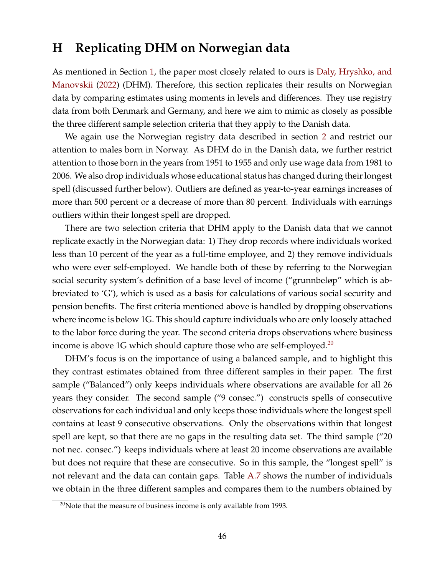### <span id="page-46-0"></span>**H Replicating DHM on Norwegian data**

As mentioned in Section [1,](#page-2-0) the paper most closely related to ours is [Daly, Hryshko, and](#page-31-0) [Manovskii](#page-31-0) [\(2022\)](#page-31-0) (DHM). Therefore, this section replicates their results on Norwegian data by comparing estimates using moments in levels and differences. They use registry data from both Denmark and Germany, and here we aim to mimic as closely as possible the three different sample selection criteria that they apply to the Danish data.

We again use the Norwegian registry data described in section [2](#page-6-0) and restrict our attention to males born in Norway. As DHM do in the Danish data, we further restrict attention to those born in the years from 1951 to 1955 and only use wage data from 1981 to 2006. We also drop individuals whose educational status has changed during their longest spell (discussed further below). Outliers are defined as year-to-year earnings increases of more than 500 percent or a decrease of more than 80 percent. Individuals with earnings outliers within their longest spell are dropped.

There are two selection criteria that DHM apply to the Danish data that we cannot replicate exactly in the Norwegian data: 1) They drop records where individuals worked less than 10 percent of the year as a full-time employee, and 2) they remove individuals who were ever self-employed. We handle both of these by referring to the Norwegian social security system's definition of a base level of income ("grunnbeløp" which is abbreviated to 'G'), which is used as a basis for calculations of various social security and pension benefits. The first criteria mentioned above is handled by dropping observations where income is below 1G. This should capture individuals who are only loosely attached to the labor force during the year. The second criteria drops observations where business income is above 1G which should capture those who are self-employed.<sup>[20](#page-46-1)</sup>

DHM's focus is on the importance of using a balanced sample, and to highlight this they contrast estimates obtained from three different samples in their paper. The first sample ("Balanced") only keeps individuals where observations are available for all 26 years they consider. The second sample ("9 consec.") constructs spells of consecutive observations for each individual and only keeps those individuals where the longest spell contains at least 9 consecutive observations. Only the observations within that longest spell are kept, so that there are no gaps in the resulting data set. The third sample ("20 not nec. consec.") keeps individuals where at least 20 income observations are available but does not require that these are consecutive. So in this sample, the "longest spell" is not relevant and the data can contain gaps. Table [A.7](#page-47-0) shows the number of individuals we obtain in the three different samples and compares them to the numbers obtained by

<span id="page-46-1"></span> $20$ Note that the measure of business income is only available from 1993.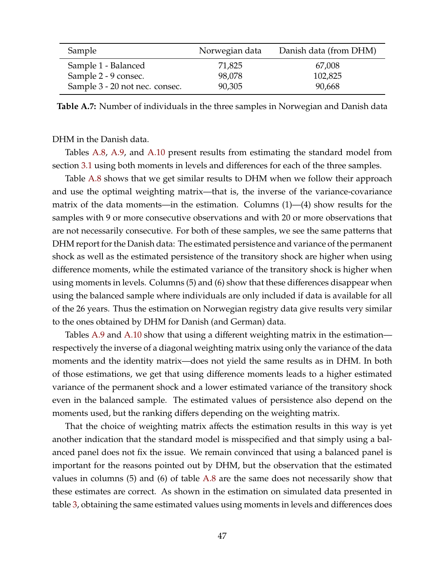<span id="page-47-0"></span>

| Sample                         | Norwegian data | Danish data (from DHM) |
|--------------------------------|----------------|------------------------|
| Sample 1 - Balanced            | 71,825         | 67,008                 |
| Sample 2 - 9 consec.           | 98,078         | 102,825                |
| Sample 3 - 20 not nec. consec. | 90,305         | 90,668                 |

**Table A.7:** Number of individuals in the three samples in Norwegian and Danish data

#### DHM in the Danish data.

Tables [A.8,](#page-48-0) [A.9,](#page-49-0) and [A.10](#page-49-1) present results from estimating the standard model from section [3.1](#page-8-2) using both moments in levels and differences for each of the three samples.

Table [A.8](#page-48-0) shows that we get similar results to DHM when we follow their approach and use the optimal weighting matrix—that is, the inverse of the variance-covariance matrix of the data moments—in the estimation. Columns (1)—(4) show results for the samples with 9 or more consecutive observations and with 20 or more observations that are not necessarily consecutive. For both of these samples, we see the same patterns that DHM report for the Danish data: The estimated persistence and variance of the permanent shock as well as the estimated persistence of the transitory shock are higher when using difference moments, while the estimated variance of the transitory shock is higher when using moments in levels. Columns (5) and (6) show that these differences disappear when using the balanced sample where individuals are only included if data is available for all of the 26 years. Thus the estimation on Norwegian registry data give results very similar to the ones obtained by DHM for Danish (and German) data.

Tables [A.9](#page-49-0) and [A.10](#page-49-1) show that using a different weighting matrix in the estimation respectively the inverse of a diagonal weighting matrix using only the variance of the data moments and the identity matrix—does not yield the same results as in DHM. In both of those estimations, we get that using difference moments leads to a higher estimated variance of the permanent shock and a lower estimated variance of the transitory shock even in the balanced sample. The estimated values of persistence also depend on the moments used, but the ranking differs depending on the weighting matrix.

That the choice of weighting matrix affects the estimation results in this way is yet another indication that the standard model is misspecified and that simply using a balanced panel does not fix the issue. We remain convinced that using a balanced panel is important for the reasons pointed out by DHM, but the observation that the estimated values in columns (5) and (6) of table [A.8](#page-48-0) are the same does not necessarily show that these estimates are correct. As shown in the estimation on simulated data presented in table [3,](#page-21-0) obtaining the same estimated values using moments in levels and differences does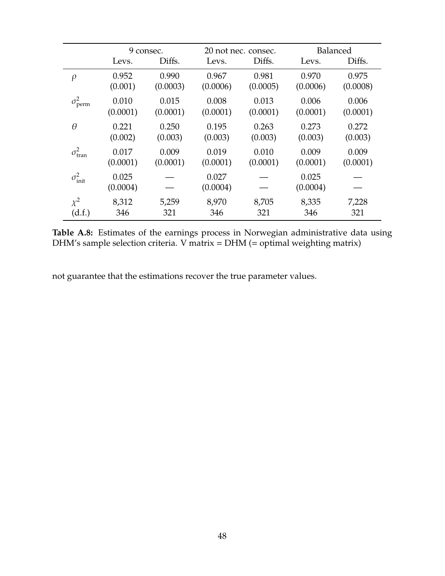<span id="page-48-0"></span>

|                          | 9 consec.         |          |                   | 20 not nec. consec. | Balanced          |          |
|--------------------------|-------------------|----------|-------------------|---------------------|-------------------|----------|
|                          | Levs.             | Diffs.   | Levs.             | Diffs.              | Levs.             | Diffs.   |
| $\rho$                   | 0.952             | 0.990    | 0.967             | 0.981               | 0.970             | 0.975    |
|                          | (0.001)           | (0.0003) | (0.0006)          | (0.0005)            | (0.0006)          | (0.0008) |
| $\sigma_{\text{perm}}^2$ | 0.010             | 0.015    | 0.008             | 0.013               | 0.006             | 0.006    |
|                          | (0.0001)          | (0.0001) | (0.0001)          | (0.0001)            | (0.0001)          | (0.0001) |
| $\theta$                 | 0.221             | 0.250    | 0.195             | 0.263               | 0.273             | 0.272    |
|                          | (0.002)           | (0.003)  | (0.003)           | (0.003)             | (0.003)           | (0.003)  |
| $\sigma_{\text{tran}}^2$ | 0.017             | 0.009    | 0.019             | 0.010               | 0.009             | 0.009    |
|                          | (0.0001)          | (0.0001) | (0.0001)          | (0.0001)            | (0.0001)          | (0.0001) |
| $\sigma_{\text{init}}^2$ | 0.025<br>(0.0004) |          | 0.027<br>(0.0004) |                     | 0.025<br>(0.0004) |          |
| $\chi^2$                 | 8,312             | 5,259    | 8,970             | 8,705               | 8,335             | 7,228    |
| (d.f.)                   | 346               | 321      | 346               | 321                 | 346               | 321      |

**Table A.8:** Estimates of the earnings process in Norwegian administrative data using DHM's sample selection criteria. V matrix = DHM (= optimal weighting matrix)

not guarantee that the estimations recover the true parameter values.